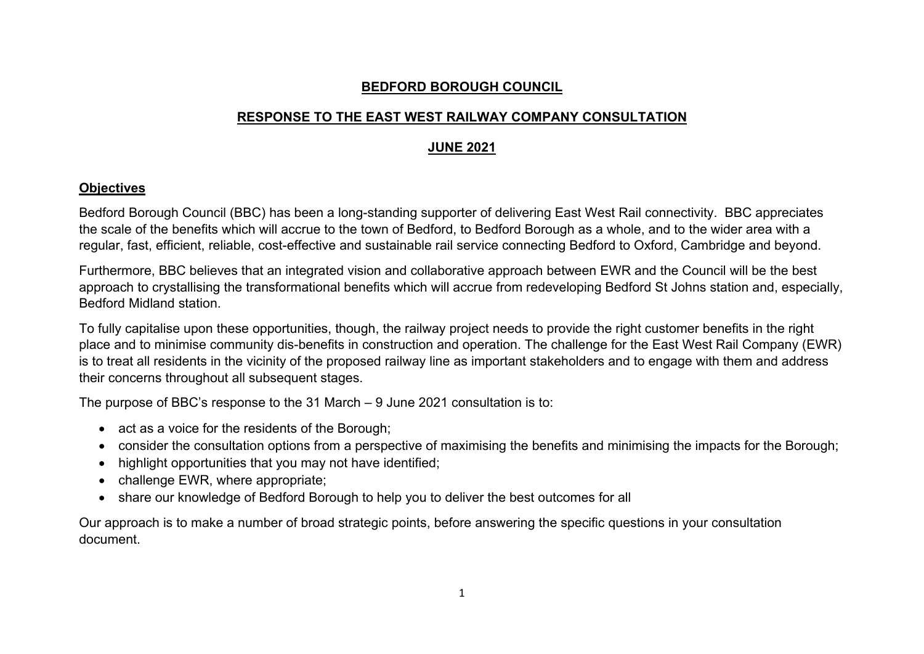## **BEDFORD BOROUGH COUNCIL**

# **RESPONSE TO THE EAST WEST RAILWAY COMPANY CONSULTATION**

# **JUNE 2021**

# **Objectives**

Bedford Borough Council (BBC) has been a long-standing supporter of delivering East West Rail connectivity. BBC appreciates the scale of the benefits which will accrue to the town of Bedford, to Bedford Borough as a whole, and to the wider area with a regular, fast, efficient, reliable, cost-effective and sustainable rail service connecting Bedford to Oxford, Cambridge and beyond.

Furthermore, BBC believes that an integrated vision and collaborative approach between EWR and the Council will be the best approach to crystallising the transformational benefits which will accrue from redeveloping Bedford St Johns station and, especially, Bedford Midland station.

To fully capitalise upon these opportunities, though, the railway project needs to provide the right customer benefits in the right place and to minimise community dis-benefits in construction and operation. The challenge for the East West Rail Company (EWR) is to treat all residents in the vicinity of the proposed railway line as important stakeholders and to engage with them and address their concerns throughout all subsequent stages.

The purpose of BBC's response to the 31 March – 9 June 2021 consultation is to:

- act as a voice for the residents of the Borough;
- consider the consultation options from a perspective of maximising the benefits and minimising the impacts for the Borough;
- highlight opportunities that you may not have identified;
- challenge EWR, where appropriate;
- share our knowledge of Bedford Borough to help you to deliver the best outcomes for all

Our approach is to make a number of broad strategic points, before answering the specific questions in your consultation document.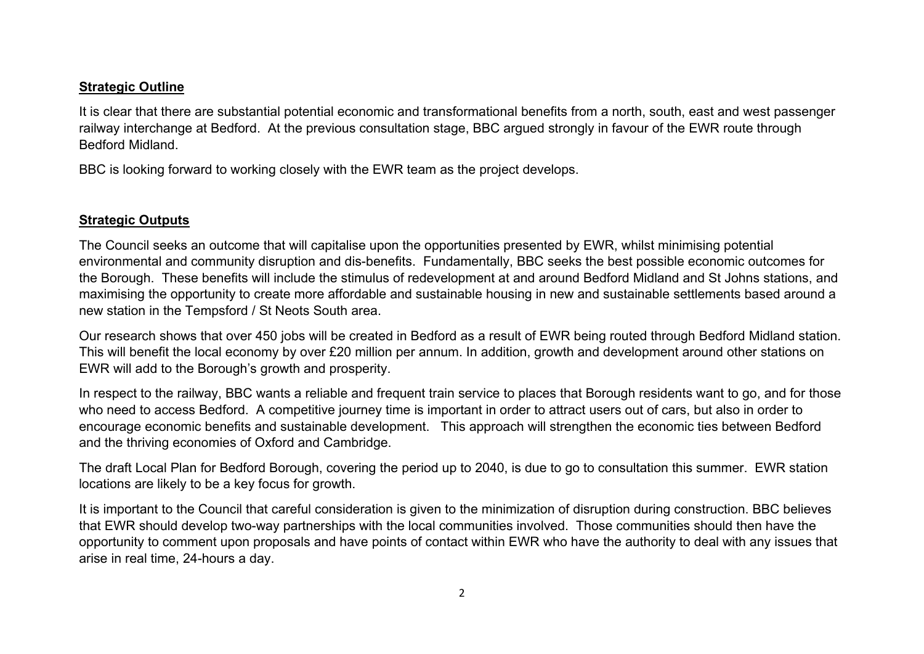### **Strategic Outline**

It is clear that there are substantial potential economic and transformational benefits from a north, south, east and west passenger railway interchange at Bedford. At the previous consultation stage, BBC argued strongly in favour of the EWR route through Bedford Midland.

BBC is looking forward to working closely with the EWR team as the project develops.

# **Strategic Outputs**

The Council seeks an outcome that will capitalise upon the opportunities presented by EWR, whilst minimising potential environmental and community disruption and dis-benefits. Fundamentally, BBC seeks the best possible economic outcomes for the Borough. These benefits will include the stimulus of redevelopment at and around Bedford Midland and St Johns stations, and maximising the opportunity to create more affordable and sustainable housing in new and sustainable settlements based around a new station in the Tempsford / St Neots South area.

Our research shows that over 450 jobs will be created in Bedford as a result of EWR being routed through Bedford Midland station. This will benefit the local economy by over £20 million per annum. In addition, growth and development around other stations on EWR will add to the Borough's growth and prosperity.

In respect to the railway, BBC wants a reliable and frequent train service to places that Borough residents want to go, and for those who need to access Bedford. A competitive journey time is important in order to attract users out of cars, but also in order to encourage economic benefits and sustainable development. This approach will strengthen the economic ties between Bedford and the thriving economies of Oxford and Cambridge.

The draft Local Plan for Bedford Borough, covering the period up to 2040, is due to go to consultation this summer. EWR station locations are likely to be a key focus for growth.

It is important to the Council that careful consideration is given to the minimization of disruption during construction. BBC believes that EWR should develop two-way partnerships with the local communities involved. Those communities should then have the opportunity to comment upon proposals and have points of contact within EWR who have the authority to deal with any issues that arise in real time, 24-hours a day.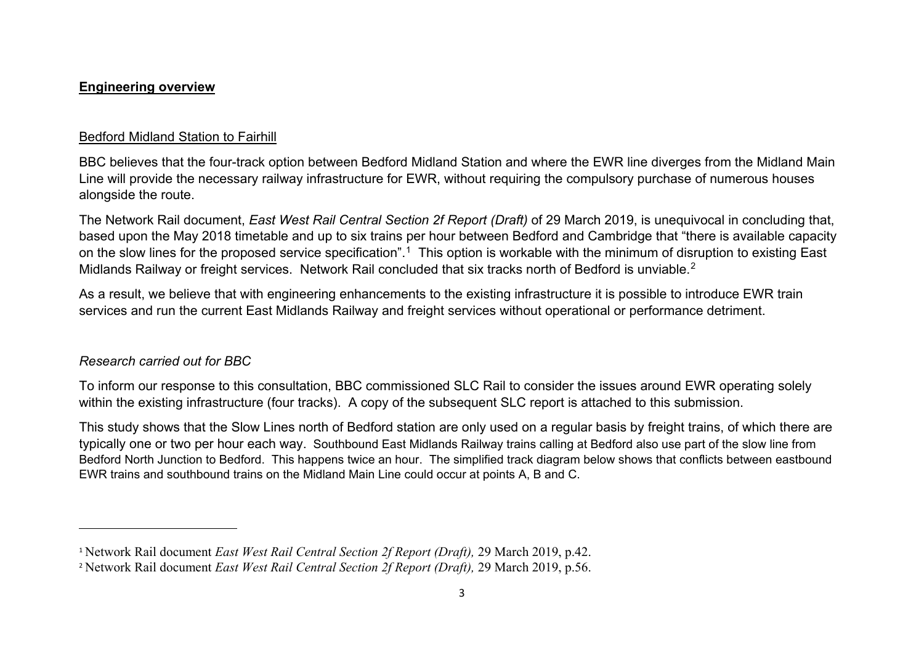#### <span id="page-2-1"></span><span id="page-2-0"></span>**Engineering overview**

## Bedford Midland Station to Fairhill

BBC believes that the four-track option between Bedford Midland Station and where the EWR line diverges from the Midland Main Line will provide the necessary railway infrastructure for EWR, without requiring the compulsory purchase of numerous houses alongside the route.

The Network Rail document, *East West Rail Central Section 2f Report (Draft)* of 29 March 2019, is unequivocal in concluding that, based upon the May 2018 timetable and up to six trains per hour between Bedford and Cambridge that "there is available capacity on the slow lines for the proposed service specification".<sup>[1](#page-2-0)</sup> This option is workable with the minimum of disruption to existing East Midlands Railway or freight services. Network Rail concluded that six tracks north of Bedford is unviable.<sup>[2](#page-2-1)</sup>

As a result, we believe that with engineering enhancements to the existing infrastructure it is possible to introduce EWR train services and run the current East Midlands Railway and freight services without operational or performance detriment.

### *Research carried out for BBC*

 $\overline{\phantom{a}}$ 

To inform our response to this consultation, BBC commissioned SLC Rail to consider the issues around EWR operating solely within the existing infrastructure (four tracks). A copy of the subsequent SLC report is attached to this submission.

This study shows that the Slow Lines north of Bedford station are only used on a regular basis by freight trains, of which there are typically one or two per hour each way. Southbound East Midlands Railway trains calling at Bedford also use part of the slow line from Bedford North Junction to Bedford. This happens twice an hour. The simplified track diagram below shows that conflicts between eastbound EWR trains and southbound trains on the Midland Main Line could occur at points A, B and C.

<sup>1</sup> Network Rail document *East West Rail Central Section 2f Report (Draft),* 29 March 2019, p.42.

<sup>&</sup>lt;sup>2</sup> Network Rail document *East West Rail Central Section 2f Report (Draft)*, 29 March 2019, p.56.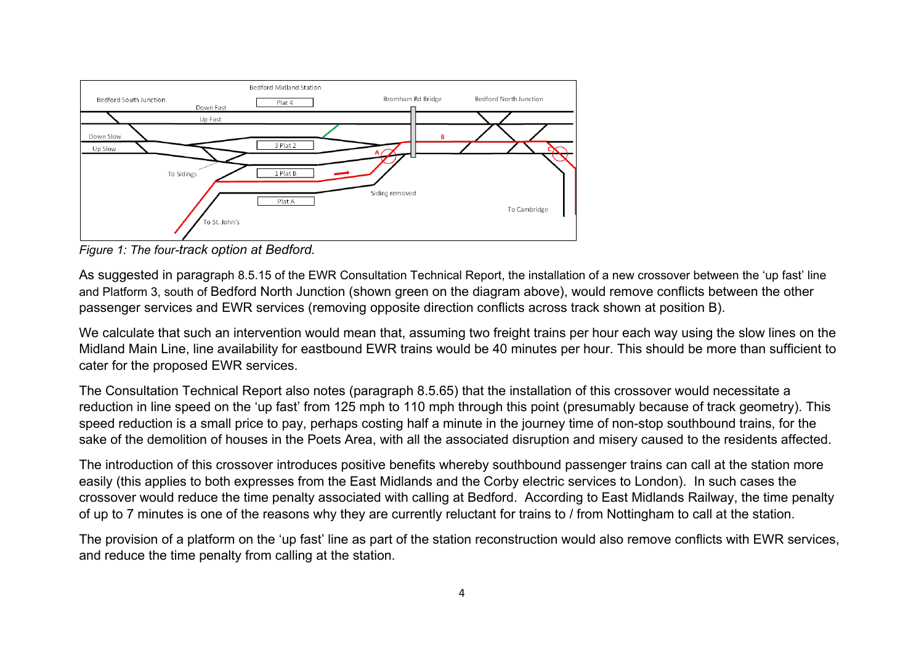

*Figure 1: The four-track option at Bedford.*

As suggested in paragraph 8.5.15 of the EWR Consultation Technical Report, the installation of a new crossover between the 'up fast' line and Platform 3, south of Bedford North Junction (shown green on the diagram above), would remove conflicts between the other passenger services and EWR services (removing opposite direction conflicts across track shown at position B).

We calculate that such an intervention would mean that, assuming two freight trains per hour each way using the slow lines on the Midland Main Line, line availability for eastbound EWR trains would be 40 minutes per hour. This should be more than sufficient to cater for the proposed EWR services.

The Consultation Technical Report also notes (paragraph 8.5.65) that the installation of this crossover would necessitate a reduction in line speed on the 'up fast' from 125 mph to 110 mph through this point (presumably because of track geometry). This speed reduction is a small price to pay, perhaps costing half a minute in the journey time of non-stop southbound trains, for the sake of the demolition of houses in the Poets Area, with all the associated disruption and misery caused to the residents affected.

The introduction of this crossover introduces positive benefits whereby southbound passenger trains can call at the station more easily (this applies to both expresses from the East Midlands and the Corby electric services to London). In such cases the crossover would reduce the time penalty associated with calling at Bedford. According to East Midlands Railway, the time penalty of up to 7 minutes is one of the reasons why they are currently reluctant for trains to / from Nottingham to call at the station.

The provision of a platform on the 'up fast' line as part of the station reconstruction would also remove conflicts with EWR services, and reduce the time penalty from calling at the station.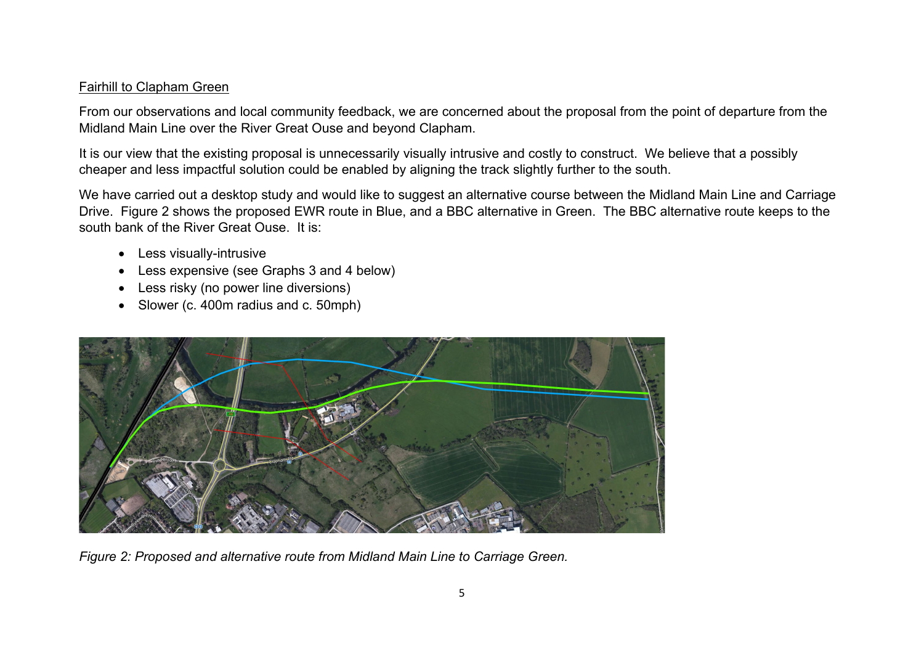### Fairhill to Clapham Green

From our observations and local community feedback, we are concerned about the proposal from the point of departure from the Midland Main Line over the River Great Ouse and beyond Clapham.

It is our view that the existing proposal is unnecessarily visually intrusive and costly to construct. We believe that a possibly cheaper and less impactful solution could be enabled by aligning the track slightly further to the south.

We have carried out a desktop study and would like to suggest an alternative course between the Midland Main Line and Carriage Drive. Figure 2 shows the proposed EWR route in Blue, and a BBC alternative in Green. The BBC alternative route keeps to the south bank of the River Great Ouse. It is:

- Less visually-intrusive
- Less expensive (see Graphs 3 and 4 below)
- Less risky (no power line diversions)
- Slower (c. 400m radius and c. 50mph)



*Figure 2: Proposed and alternative route from Midland Main Line to Carriage Green.*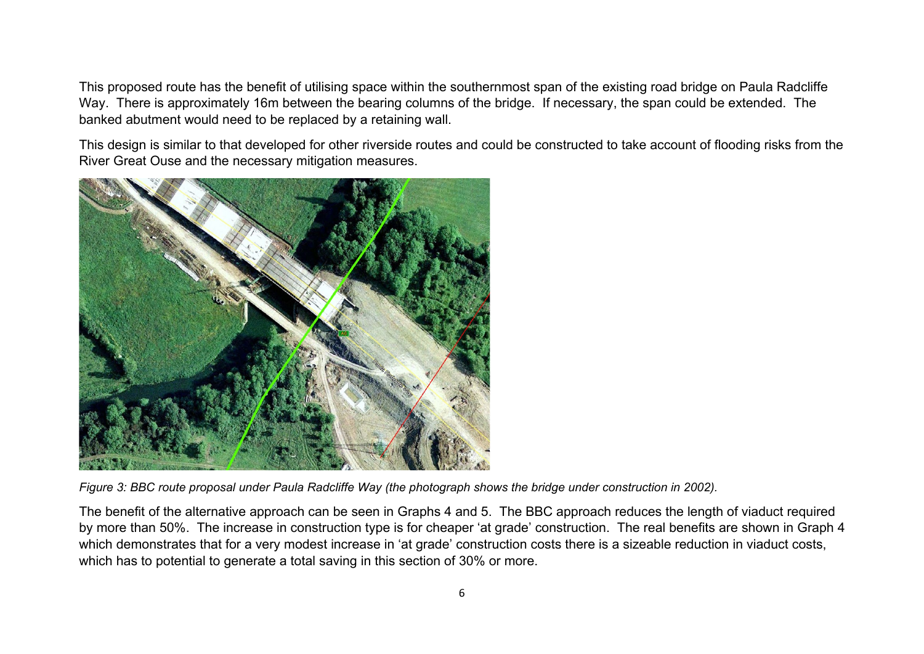This proposed route has the benefit of utilising space within the southernmost span of the existing road bridge on Paula Radcliffe Way. There is approximately 16m between the bearing columns of the bridge. If necessary, the span could be extended. The banked abutment would need to be replaced by a retaining wall.

This design is similar to that developed for other riverside routes and could be constructed to take account of flooding risks from the River Great Ouse and the necessary mitigation measures.



*Figure 3: BBC route proposal under Paula Radcliffe Way (the photograph shows the bridge under construction in 2002).* 

The benefit of the alternative approach can be seen in Graphs 4 and 5. The BBC approach reduces the length of viaduct required by more than 50%. The increase in construction type is for cheaper 'at grade' construction. The real benefits are shown in Graph 4 which demonstrates that for a very modest increase in 'at grade' construction costs there is a sizeable reduction in viaduct costs, which has to potential to generate a total saving in this section of 30% or more.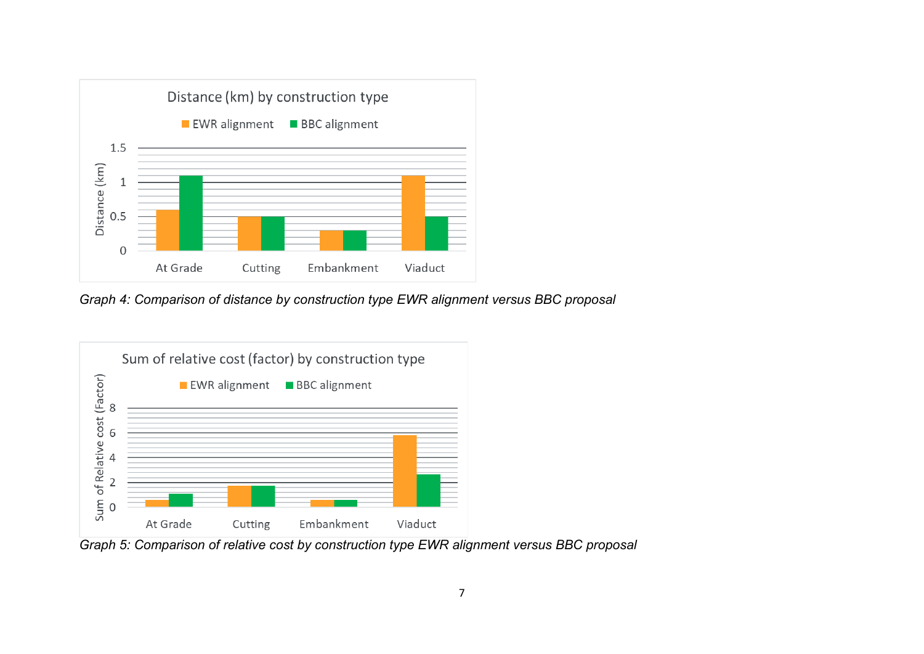

*Graph 4: Comparison of distance by construction type EWR alignment versus BBC proposal*



*Graph 5: Comparison of relative cost by construction type EWR alignment versus BBC proposal*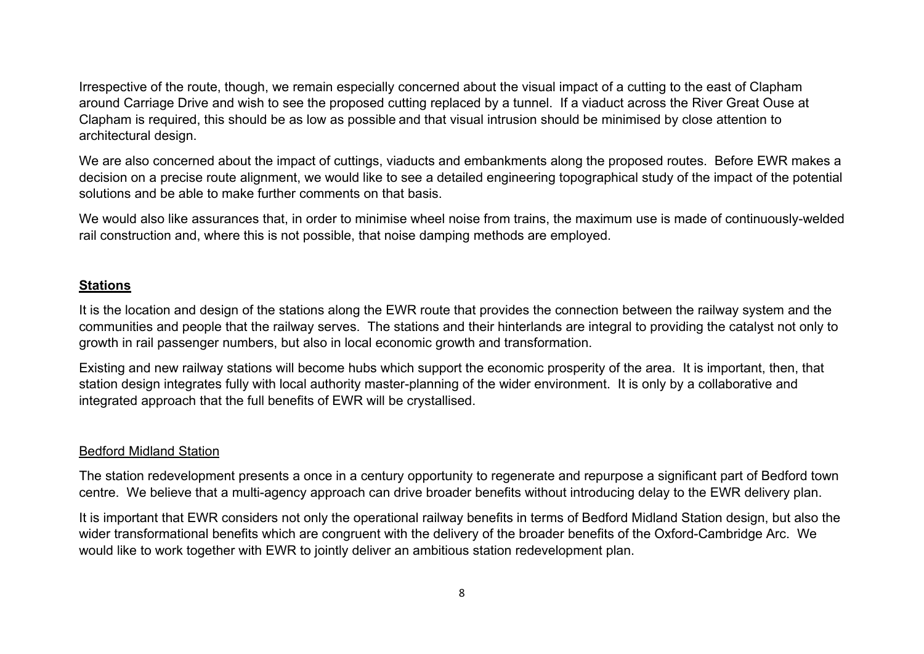Irrespective of the route, though, we remain especially concerned about the visual impact of a cutting to the east of Clapham around Carriage Drive and wish to see the proposed cutting replaced by a tunnel. If a viaduct across the River Great Ouse at Clapham is required, this should be as low as possible and that visual intrusion should be minimised by close attention to architectural design.

We are also concerned about the impact of cuttings, viaducts and embankments along the proposed routes. Before EWR makes a decision on a precise route alignment, we would like to see a detailed engineering topographical study of the impact of the potential solutions and be able to make further comments on that basis.

We would also like assurances that, in order to minimise wheel noise from trains, the maximum use is made of continuously-welded rail construction and, where this is not possible, that noise damping methods are employed.

#### **Stations**

It is the location and design of the stations along the EWR route that provides the connection between the railway system and the communities and people that the railway serves. The stations and their hinterlands are integral to providing the catalyst not only to growth in rail passenger numbers, but also in local economic growth and transformation.

Existing and new railway stations will become hubs which support the economic prosperity of the area. It is important, then, that station design integrates fully with local authority master-planning of the wider environment. It is only by a collaborative and integrated approach that the full benefits of EWR will be crystallised.

# Bedford Midland Station

The station redevelopment presents a once in a century opportunity to regenerate and repurpose a significant part of Bedford town centre. We believe that a multi-agency approach can drive broader benefits without introducing delay to the EWR delivery plan.

It is important that EWR considers not only the operational railway benefits in terms of Bedford Midland Station design, but also the wider transformational benefits which are congruent with the delivery of the broader benefits of the Oxford-Cambridge Arc. We would like to work together with EWR to jointly deliver an ambitious station redevelopment plan.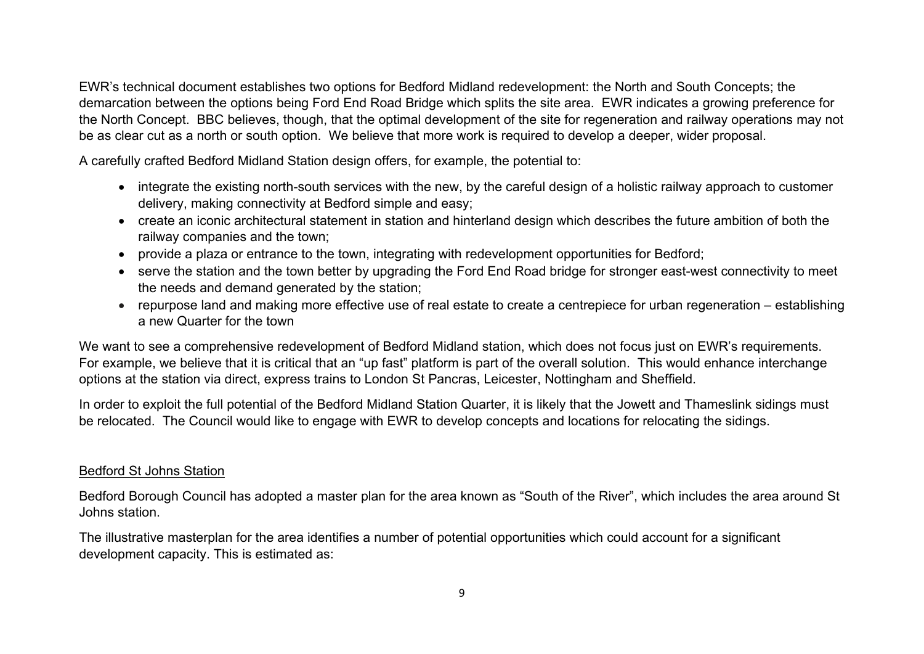EWR's technical document establishes two options for Bedford Midland redevelopment: the North and South Concepts; the demarcation between the options being Ford End Road Bridge which splits the site area. EWR indicates a growing preference for the North Concept. BBC believes, though, that the optimal development of the site for regeneration and railway operations may not be as clear cut as a north or south option. We believe that more work is required to develop a deeper, wider proposal.

A carefully crafted Bedford Midland Station design offers, for example, the potential to:

- integrate the existing north-south services with the new, by the careful design of a holistic railway approach to customer delivery, making connectivity at Bedford simple and easy;
- create an iconic architectural statement in station and hinterland design which describes the future ambition of both the railway companies and the town;
- provide a plaza or entrance to the town, integrating with redevelopment opportunities for Bedford;
- serve the station and the town better by upgrading the Ford End Road bridge for stronger east-west connectivity to meet the needs and demand generated by the station;
- repurpose land and making more effective use of real estate to create a centrepiece for urban regeneration establishing a new Quarter for the town

We want to see a comprehensive redevelopment of Bedford Midland station, which does not focus just on EWR's requirements. For example, we believe that it is critical that an "up fast" platform is part of the overall solution. This would enhance interchange options at the station via direct, express trains to London St Pancras, Leicester, Nottingham and Sheffield.

In order to exploit the full potential of the Bedford Midland Station Quarter, it is likely that the Jowett and Thameslink sidings must be relocated. The Council would like to engage with EWR to develop concepts and locations for relocating the sidings.

### Bedford St Johns Station

Bedford Borough Council has adopted a master plan for the area known as "South of the River", which includes the area around St Johns station.

The illustrative masterplan for the area identifies a number of potential opportunities which could account for a significant development capacity. This is estimated as: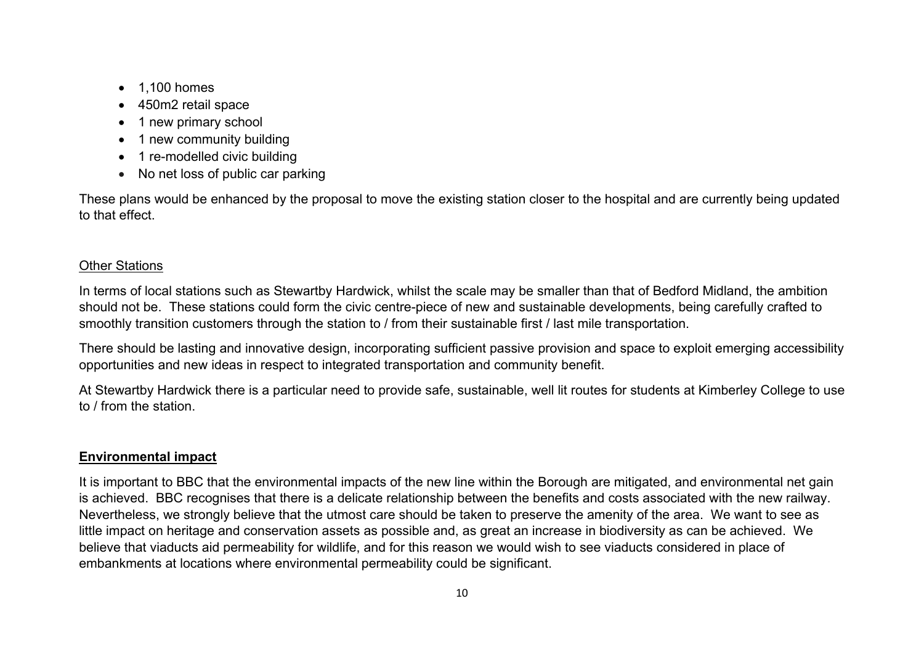- 1,100 homes
- 450m2 retail space
- 1 new primary school
- 1 new community building
- 1 re-modelled civic building
- No net loss of public car parking

These plans would be enhanced by the proposal to move the existing station closer to the hospital and are currently being updated to that effect.

## Other Stations

In terms of local stations such as Stewartby Hardwick, whilst the scale may be smaller than that of Bedford Midland, the ambition should not be. These stations could form the civic centre-piece of new and sustainable developments, being carefully crafted to smoothly transition customers through the station to / from their sustainable first / last mile transportation.

There should be lasting and innovative design, incorporating sufficient passive provision and space to exploit emerging accessibility opportunities and new ideas in respect to integrated transportation and community benefit.

At Stewartby Hardwick there is a particular need to provide safe, sustainable, well lit routes for students at Kimberley College to use to / from the station.

### **Environmental impact**

It is important to BBC that the environmental impacts of the new line within the Borough are mitigated, and environmental net gain is achieved. BBC recognises that there is a delicate relationship between the benefits and costs associated with the new railway. Nevertheless, we strongly believe that the utmost care should be taken to preserve the amenity of the area. We want to see as little impact on heritage and conservation assets as possible and, as great an increase in biodiversity as can be achieved. We believe that viaducts aid permeability for wildlife, and for this reason we would wish to see viaducts considered in place of embankments at locations where environmental permeability could be significant.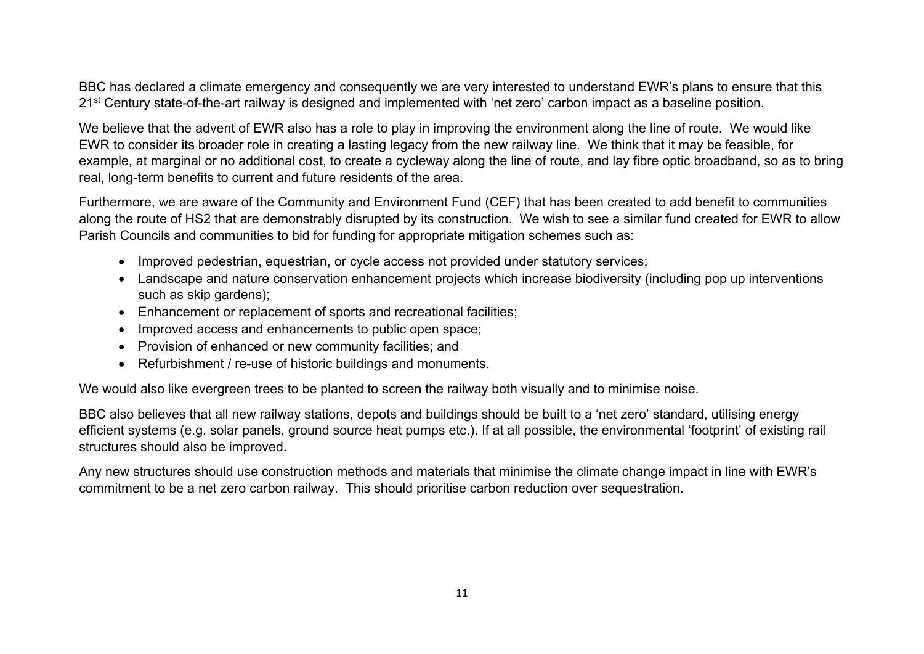BBC has declared a climate emergency and consequently we are very interested to understand EWR's plans to ensure that this 21<sup>st</sup> Century state-of-the-art railway is designed and implemented with 'net zero' carbon impact as a baseline position.

We believe that the advent of EWR also has a role to play in improving the environment along the line of route. We would like EWR to consider its broader role in creating a lasting legacy from the new railway line. We think that it may be feasible, for example, at marginal or no additional cost, to create a cycleway along the line of route, and lay fibre optic broadband, so as to bring real, long-term benefits to current and future residents of the area.

Furthermore, we are aware of the Community and Environment Fund (CEF) that has been created to add benefit to communities along the route of HS2 that are demonstrably disrupted by its construction. We wish to see a similar fund created for EWR to allow Parish Councils and communities to bid for funding for appropriate mitigation schemes such as:

- Improved pedestrian, equestrian, or cycle access not provided under statutory services;
- Landscape and nature conservation enhancement projects which increase biodiversity (including pop up interventions such as skip gardens);
- Enhancement or replacement of sports and recreational facilities;
- Improved access and enhancements to public open space;
- Provision of enhanced or new community facilities; and
- Refurbishment / re-use of historic buildings and monuments.

We would also like evergreen trees to be planted to screen the railway both visually and to minimise noise.

BBC also believes that all new railway stations, depots and buildings should be built to a 'net zero' standard, utilising energy efficient systems (e.g. solar panels, ground source heat pumps etc.). If at all possible, the environmental 'footprint' of existing rail structures should also be improved.

Any new structures should use construction methods and materials that minimise the climate change impact in line with EWR's commitment to be a net zero carbon railway. This should prioritise carbon reduction over sequestration.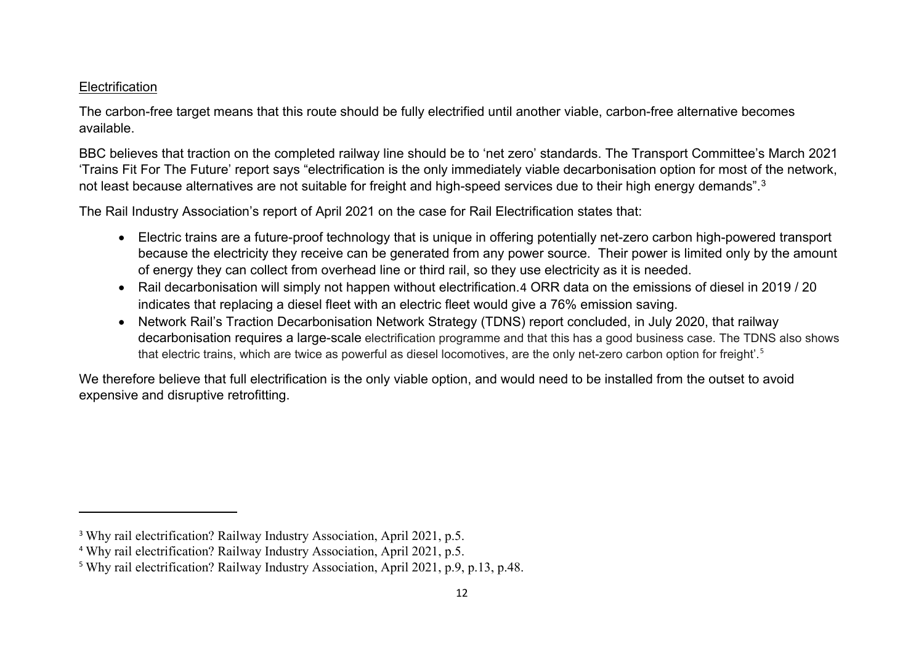#### <span id="page-11-2"></span><span id="page-11-1"></span><span id="page-11-0"></span>**Electrification**

 $\overline{\phantom{a}}$ 

The carbon-free target means that this route should be fully electrified until another viable, carbon-free alternative becomes available.

BBC believes that traction on the completed railway line should be to 'net zero' standards. The Transport Committee's March 2021 'Trains Fit For The Future' report says "electrification is the only immediately viable decarbonisation option for most of the network, not least because alternatives are not suitable for freight and high-speed services due to their high energy demands".<sup>[3](#page-11-0)</sup>

The Rail Industry Association's report of April 2021 on the case for Rail Electrification states that:

- Electric trains are a future-proof technology that is unique in offering potentially net-zero carbon high-powered transport because the electricity they receive can be generated from any power source. Their power is limited only by the amount of energy they can collect from overhead line or third rail, so they use electricity as it is needed.
- Rail decarbonisation will simply not happen without electrification.[4](#page-11-1) ORR data on the emissions of diesel in 2019 / 20 indicates that replacing a diesel fleet with an electric fleet would give a 76% emission saving.
- Network Rail's Traction Decarbonisation Network Strategy (TDNS) report concluded, in July 2020, that railway decarbonisation requires a large-scale electrification programme and that this has a good business case. The TDNS also shows that electric trains, which are twice as powerful as diesel locomotives, are the only net-zero carbon option for freight'.[5](#page-11-2)

We therefore believe that full electrification is the only viable option, and would need to be installed from the outset to avoid expensive and disruptive retrofitting.

<sup>&</sup>lt;sup>3</sup> Why rail electrification? Railway Industry Association, April 2021, p.5.

<sup>4</sup> Why rail electrification? Railway Industry Association, April 2021, p.5.

<sup>5</sup> Why rail electrification? Railway Industry Association, April 2021, p.9, p.13, p.48.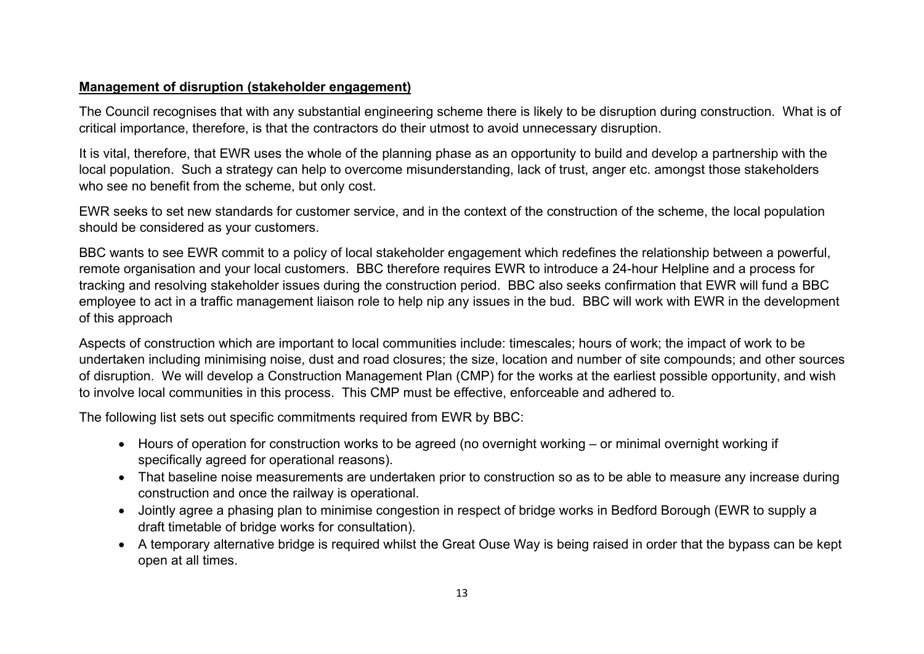### **Management of disruption (stakeholder engagement)**

The Council recognises that with any substantial engineering scheme there is likely to be disruption during construction. What is of critical importance, therefore, is that the contractors do their utmost to avoid unnecessary disruption.

It is vital, therefore, that EWR uses the whole of the planning phase as an opportunity to build and develop a partnership with the local population. Such a strategy can help to overcome misunderstanding, lack of trust, anger etc. amongst those stakeholders who see no benefit from the scheme, but only cost.

EWR seeks to set new standards for customer service, and in the context of the construction of the scheme, the local population should be considered as your customers.

BBC wants to see EWR commit to a policy of local stakeholder engagement which redefines the relationship between a powerful, remote organisation and your local customers. BBC therefore requires EWR to introduce a 24-hour Helpline and a process for tracking and resolving stakeholder issues during the construction period. BBC also seeks confirmation that EWR will fund a BBC employee to act in a traffic management liaison role to help nip any issues in the bud. BBC will work with EWR in the development of this approach

Aspects of construction which are important to local communities include: timescales; hours of work; the impact of work to be undertaken including minimising noise, dust and road closures; the size, location and number of site compounds; and other sources of disruption. We will develop a Construction Management Plan (CMP) for the works at the earliest possible opportunity, and wish to involve local communities in this process. This CMP must be effective, enforceable and adhered to.

The following list sets out specific commitments required from EWR by BBC:

- Hours of operation for construction works to be agreed (no overnight working or minimal overnight working if specifically agreed for operational reasons).
- That baseline noise measurements are undertaken prior to construction so as to be able to measure any increase during construction and once the railway is operational.
- Jointly agree a phasing plan to minimise congestion in respect of bridge works in Bedford Borough (EWR to supply a draft timetable of bridge works for consultation).
- A temporary alternative bridge is required whilst the Great Ouse Way is being raised in order that the bypass can be kept open at all times.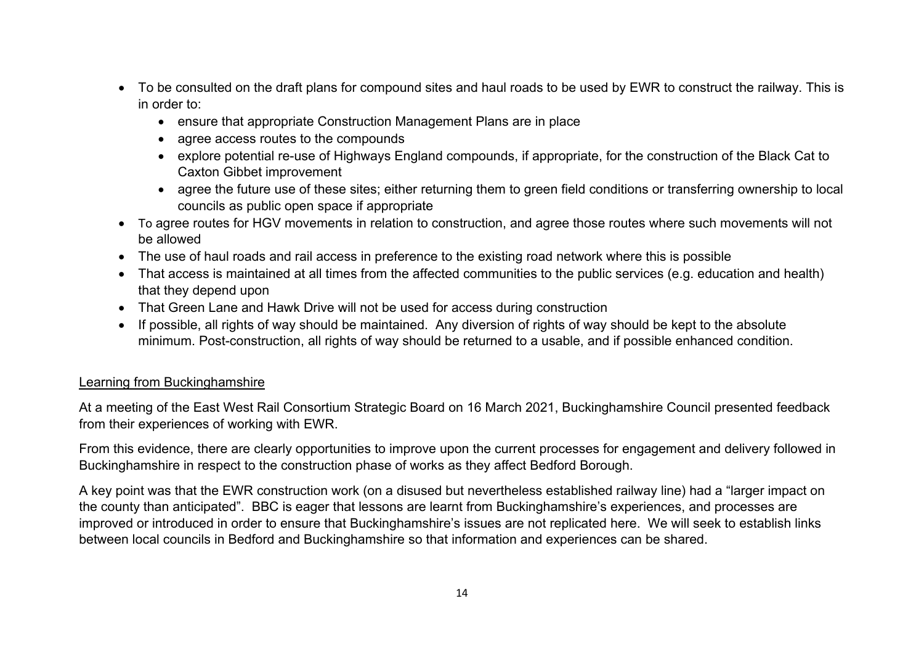- To be consulted on the draft plans for compound sites and haul roads to be used by EWR to construct the railway. This is in order to:
	- ensure that appropriate Construction Management Plans are in place
	- agree access routes to the compounds
	- explore potential re-use of Highways England compounds, if appropriate, for the construction of the Black Cat to Caxton Gibbet improvement
	- agree the future use of these sites; either returning them to green field conditions or transferring ownership to local councils as public open space if appropriate
- To agree routes for HGV movements in relation to construction, and agree those routes where such movements will not be allowed
- The use of haul roads and rail access in preference to the existing road network where this is possible
- That access is maintained at all times from the affected communities to the public services (e.g. education and health) that they depend upon
- That Green Lane and Hawk Drive will not be used for access during construction
- If possible, all rights of way should be maintained. Any diversion of rights of way should be kept to the absolute minimum. Post-construction, all rights of way should be returned to a usable, and if possible enhanced condition.

### Learning from Buckinghamshire

At a meeting of the East West Rail Consortium Strategic Board on 16 March 2021, Buckinghamshire Council presented feedback from their experiences of working with EWR.

From this evidence, there are clearly opportunities to improve upon the current processes for engagement and delivery followed in Buckinghamshire in respect to the construction phase of works as they affect Bedford Borough.

A key point was that the EWR construction work (on a disused but nevertheless established railway line) had a "larger impact on the county than anticipated". BBC is eager that lessons are learnt from Buckinghamshire's experiences, and processes are improved or introduced in order to ensure that Buckinghamshire's issues are not replicated here. We will seek to establish links between local councils in Bedford and Buckinghamshire so that information and experiences can be shared.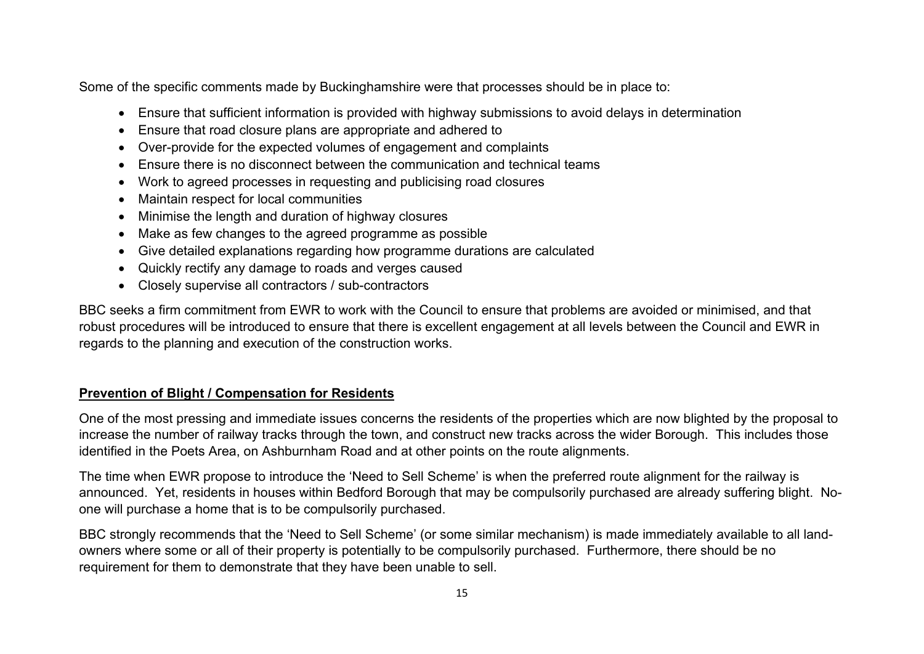Some of the specific comments made by Buckinghamshire were that processes should be in place to:

- Ensure that sufficient information is provided with highway submissions to avoid delays in determination
- Ensure that road closure plans are appropriate and adhered to
- Over-provide for the expected volumes of engagement and complaints
- Ensure there is no disconnect between the communication and technical teams
- Work to agreed processes in requesting and publicising road closures
- Maintain respect for local communities
- Minimise the length and duration of highway closures
- Make as few changes to the agreed programme as possible
- Give detailed explanations regarding how programme durations are calculated
- Quickly rectify any damage to roads and verges caused
- Closely supervise all contractors / sub-contractors

BBC seeks a firm commitment from EWR to work with the Council to ensure that problems are avoided or minimised, and that robust procedures will be introduced to ensure that there is excellent engagement at all levels between the Council and EWR in regards to the planning and execution of the construction works.

## **Prevention of Blight / Compensation for Residents**

One of the most pressing and immediate issues concerns the residents of the properties which are now blighted by the proposal to increase the number of railway tracks through the town, and construct new tracks across the wider Borough. This includes those identified in the Poets Area, on Ashburnham Road and at other points on the route alignments.

The time when EWR propose to introduce the 'Need to Sell Scheme' is when the preferred route alignment for the railway is announced. Yet, residents in houses within Bedford Borough that may be compulsorily purchased are already suffering blight. Noone will purchase a home that is to be compulsorily purchased.

BBC strongly recommends that the 'Need to Sell Scheme' (or some similar mechanism) is made immediately available to all landowners where some or all of their property is potentially to be compulsorily purchased. Furthermore, there should be no requirement for them to demonstrate that they have been unable to sell.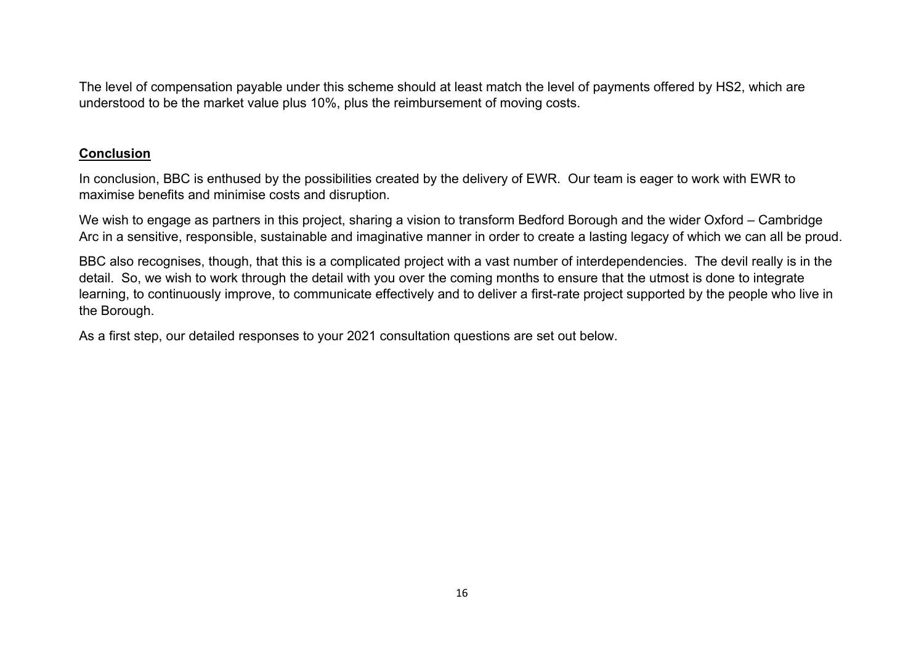The level of compensation payable under this scheme should at least match the level of payments offered by HS2, which are understood to be the market value plus 10%, plus the reimbursement of moving costs.

### **Conclusion**

In conclusion, BBC is enthused by the possibilities created by the delivery of EWR. Our team is eager to work with EWR to maximise benefits and minimise costs and disruption.

We wish to engage as partners in this project, sharing a vision to transform Bedford Borough and the wider Oxford – Cambridge Arc in a sensitive, responsible, sustainable and imaginative manner in order to create a lasting legacy of which we can all be proud.

BBC also recognises, though, that this is a complicated project with a vast number of interdependencies. The devil really is in the detail. So, we wish to work through the detail with you over the coming months to ensure that the utmost is done to integrate learning, to continuously improve, to communicate effectively and to deliver a first-rate project supported by the people who live in the Borough.

As a first step, our detailed responses to your 2021 consultation questions are set out below.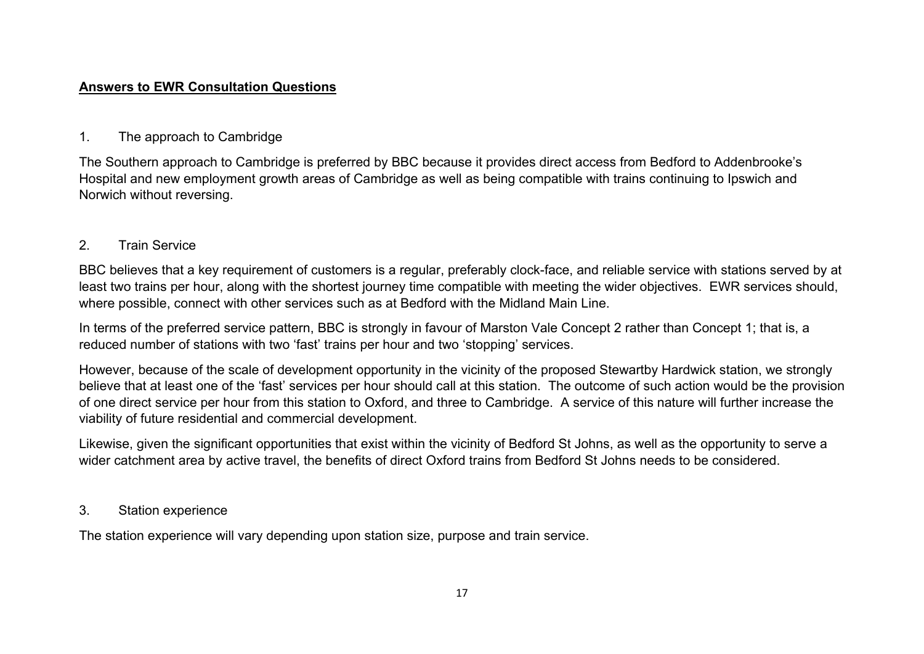### **Answers to EWR Consultation Questions**

# 1. The approach to Cambridge

The Southern approach to Cambridge is preferred by BBC because it provides direct access from Bedford to Addenbrooke's Hospital and new employment growth areas of Cambridge as well as being compatible with trains continuing to Ipswich and Norwich without reversing.

# 2. Train Service

BBC believes that a key requirement of customers is a regular, preferably clock-face, and reliable service with stations served by at least two trains per hour, along with the shortest journey time compatible with meeting the wider objectives. EWR services should, where possible, connect with other services such as at Bedford with the Midland Main Line.

In terms of the preferred service pattern, BBC is strongly in favour of Marston Vale Concept 2 rather than Concept 1; that is, a reduced number of stations with two 'fast' trains per hour and two 'stopping' services.

However, because of the scale of development opportunity in the vicinity of the proposed Stewartby Hardwick station, we strongly believe that at least one of the 'fast' services per hour should call at this station. The outcome of such action would be the provision of one direct service per hour from this station to Oxford, and three to Cambridge. A service of this nature will further increase the viability of future residential and commercial development.

Likewise, given the significant opportunities that exist within the vicinity of Bedford St Johns, as well as the opportunity to serve a wider catchment area by active travel, the benefits of direct Oxford trains from Bedford St Johns needs to be considered.

### 3. Station experience

The station experience will vary depending upon station size, purpose and train service.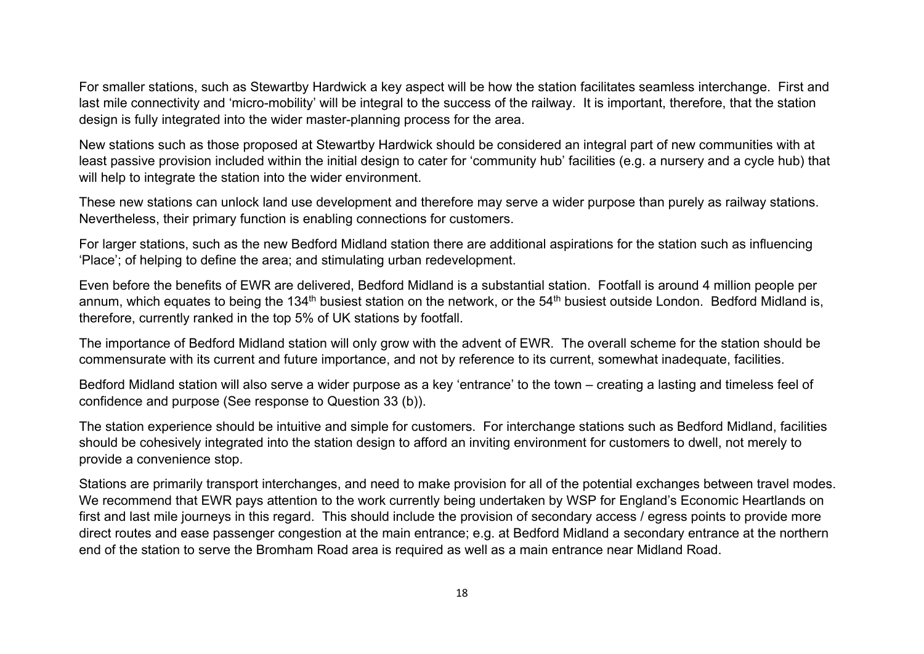For smaller stations, such as Stewartby Hardwick a key aspect will be how the station facilitates seamless interchange. First and last mile connectivity and 'micro-mobility' will be integral to the success of the railway. It is important, therefore, that the station design is fully integrated into the wider master-planning process for the area.

New stations such as those proposed at Stewartby Hardwick should be considered an integral part of new communities with at least passive provision included within the initial design to cater for 'community hub' facilities (e.g. a nursery and a cycle hub) that will help to integrate the station into the wider environment.

These new stations can unlock land use development and therefore may serve a wider purpose than purely as railway stations. Nevertheless, their primary function is enabling connections for customers.

For larger stations, such as the new Bedford Midland station there are additional aspirations for the station such as influencing 'Place'; of helping to define the area; and stimulating urban redevelopment.

Even before the benefits of EWR are delivered, Bedford Midland is a substantial station. Footfall is around 4 million people per annum, which equates to being the 134<sup>th</sup> busiest station on the network, or the 54<sup>th</sup> busiest outside London. Bedford Midland is, therefore, currently ranked in the top 5% of UK stations by footfall.

The importance of Bedford Midland station will only grow with the advent of EWR. The overall scheme for the station should be commensurate with its current and future importance, and not by reference to its current, somewhat inadequate, facilities.

Bedford Midland station will also serve a wider purpose as a key 'entrance' to the town – creating a lasting and timeless feel of confidence and purpose (See response to Question 33 (b)).

The station experience should be intuitive and simple for customers. For interchange stations such as Bedford Midland, facilities should be cohesively integrated into the station design to afford an inviting environment for customers to dwell, not merely to provide a convenience stop.

Stations are primarily transport interchanges, and need to make provision for all of the potential exchanges between travel modes. We recommend that EWR pays attention to the work currently being undertaken by WSP for England's Economic Heartlands on first and last mile journeys in this regard. This should include the provision of secondary access / egress points to provide more direct routes and ease passenger congestion at the main entrance; e.g. at Bedford Midland a secondary entrance at the northern end of the station to serve the Bromham Road area is required as well as a main entrance near Midland Road.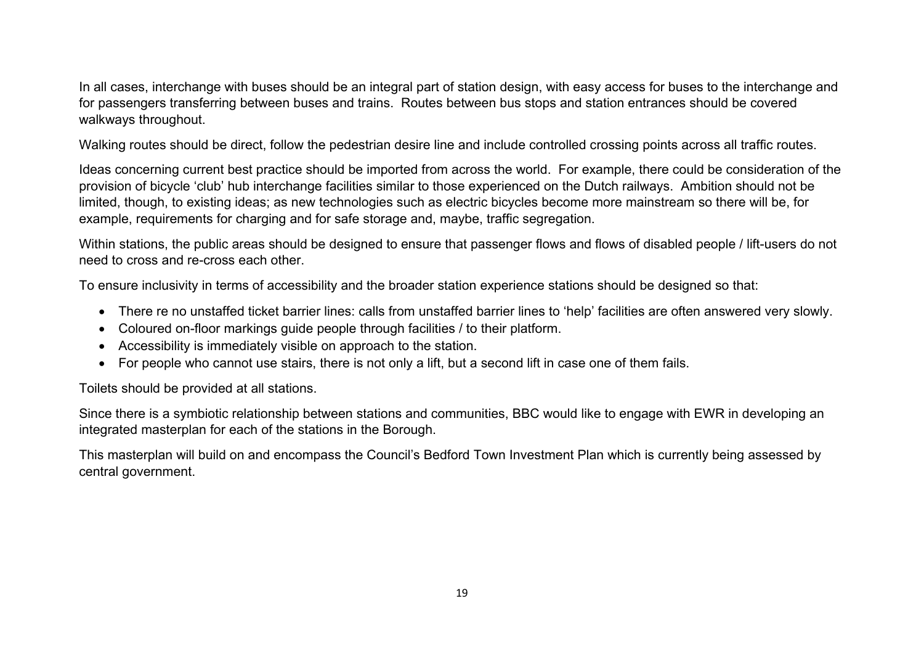In all cases, interchange with buses should be an integral part of station design, with easy access for buses to the interchange and for passengers transferring between buses and trains. Routes between bus stops and station entrances should be covered walkways throughout.

Walking routes should be direct, follow the pedestrian desire line and include controlled crossing points across all traffic routes.

Ideas concerning current best practice should be imported from across the world. For example, there could be consideration of the provision of bicycle 'club' hub interchange facilities similar to those experienced on the Dutch railways. Ambition should not be limited, though, to existing ideas; as new technologies such as electric bicycles become more mainstream so there will be, for example, requirements for charging and for safe storage and, maybe, traffic segregation.

Within stations, the public areas should be designed to ensure that passenger flows and flows of disabled people / lift-users do not need to cross and re-cross each other.

To ensure inclusivity in terms of accessibility and the broader station experience stations should be designed so that:

- There re no unstaffed ticket barrier lines: calls from unstaffed barrier lines to 'help' facilities are often answered very slowly.
- Coloured on-floor markings guide people through facilities / to their platform.
- Accessibility is immediately visible on approach to the station.
- For people who cannot use stairs, there is not only a lift, but a second lift in case one of them fails.

Toilets should be provided at all stations.

Since there is a symbiotic relationship between stations and communities, BBC would like to engage with EWR in developing an integrated masterplan for each of the stations in the Borough.

This masterplan will build on and encompass the Council's Bedford Town Investment Plan which is currently being assessed by central government.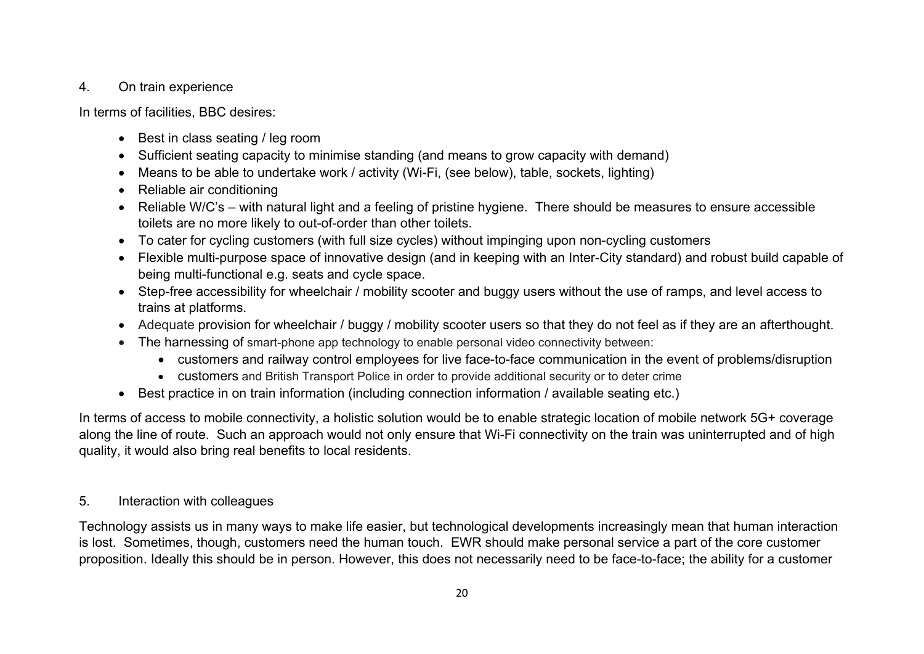### 4. On train experience

In terms of facilities, BBC desires:

- Best in class seating / leg room
- Sufficient seating capacity to minimise standing (and means to grow capacity with demand)
- Means to be able to undertake work / activity (Wi-Fi, (see below), table, sockets, lighting)
- Reliable air conditioning
- Reliable W/C's with natural light and a feeling of pristine hygiene. There should be measures to ensure accessible toilets are no more likely to out-of-order than other toilets.
- To cater for cycling customers (with full size cycles) without impinging upon non-cycling customers
- Flexible multi-purpose space of innovative design (and in keeping with an Inter-City standard) and robust build capable of being multi-functional e.g. seats and cycle space.
- Step-free accessibility for wheelchair / mobility scooter and buggy users without the use of ramps, and level access to trains at platforms.
- Adequate provision for wheelchair / buggy / mobility scooter users so that they do not feel as if they are an afterthought.
- The harnessing of smart-phone app technology to enable personal video connectivity between:
	- customers and railway control employees for live face-to-face communication in the event of problems/disruption
	- customers and British Transport Police in order to provide additional security or to deter crime
- Best practice in on train information (including connection information / available seating etc.)

In terms of access to mobile connectivity, a holistic solution would be to enable strategic location of mobile network 5G+ coverage along the line of route. Such an approach would not only ensure that Wi-Fi connectivity on the train was uninterrupted and of high quality, it would also bring real benefits to local residents.

# 5. Interaction with colleagues

Technology assists us in many ways to make life easier, but technological developments increasingly mean that human interaction is lost. Sometimes, though, customers need the human touch. EWR should make personal service a part of the core customer proposition. Ideally this should be in person. However, this does not necessarily need to be face-to-face; the ability for a customer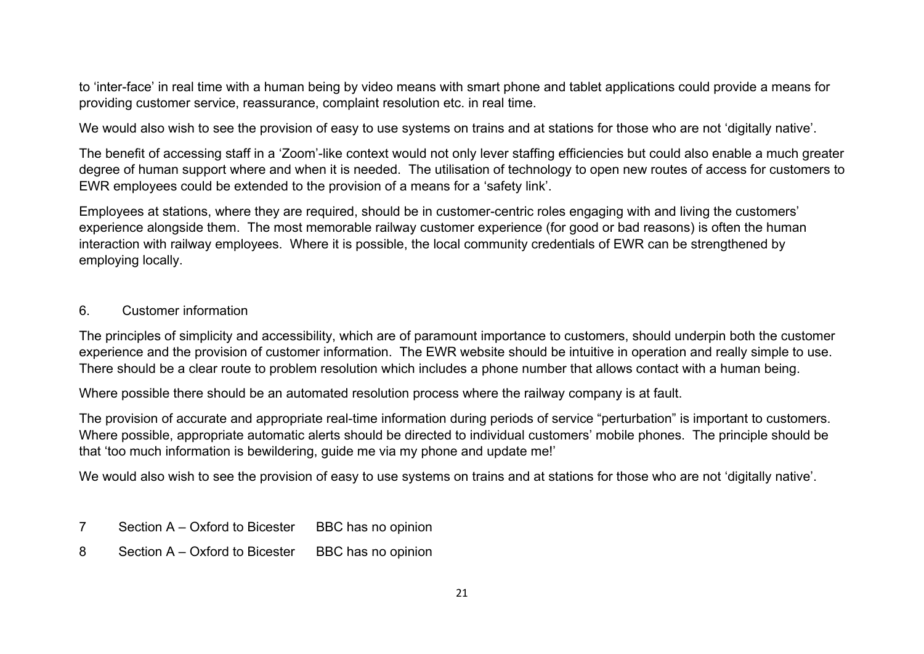to 'inter-face' in real time with a human being by video means with smart phone and tablet applications could provide a means for providing customer service, reassurance, complaint resolution etc. in real time.

We would also wish to see the provision of easy to use systems on trains and at stations for those who are not 'digitally native'.

The benefit of accessing staff in a 'Zoom'-like context would not only lever staffing efficiencies but could also enable a much greater degree of human support where and when it is needed. The utilisation of technology to open new routes of access for customers to EWR employees could be extended to the provision of a means for a 'safety link'.

Employees at stations, where they are required, should be in customer-centric roles engaging with and living the customers' experience alongside them. The most memorable railway customer experience (for good or bad reasons) is often the human interaction with railway employees. Where it is possible, the local community credentials of EWR can be strengthened by employing locally.

#### 6. Customer information

The principles of simplicity and accessibility, which are of paramount importance to customers, should underpin both the customer experience and the provision of customer information. The EWR website should be intuitive in operation and really simple to use. There should be a clear route to problem resolution which includes a phone number that allows contact with a human being.

Where possible there should be an automated resolution process where the railway company is at fault.

The provision of accurate and appropriate real-time information during periods of service "perturbation" is important to customers. Where possible, appropriate automatic alerts should be directed to individual customers' mobile phones. The principle should be that 'too much information is bewildering, guide me via my phone and update me!'

We would also wish to see the provision of easy to use systems on trains and at stations for those who are not 'digitally native'.

- 7 Section A Oxford to Bicester BBC has no opinion
- 8 Section A Oxford to Bicester BBC has no opinion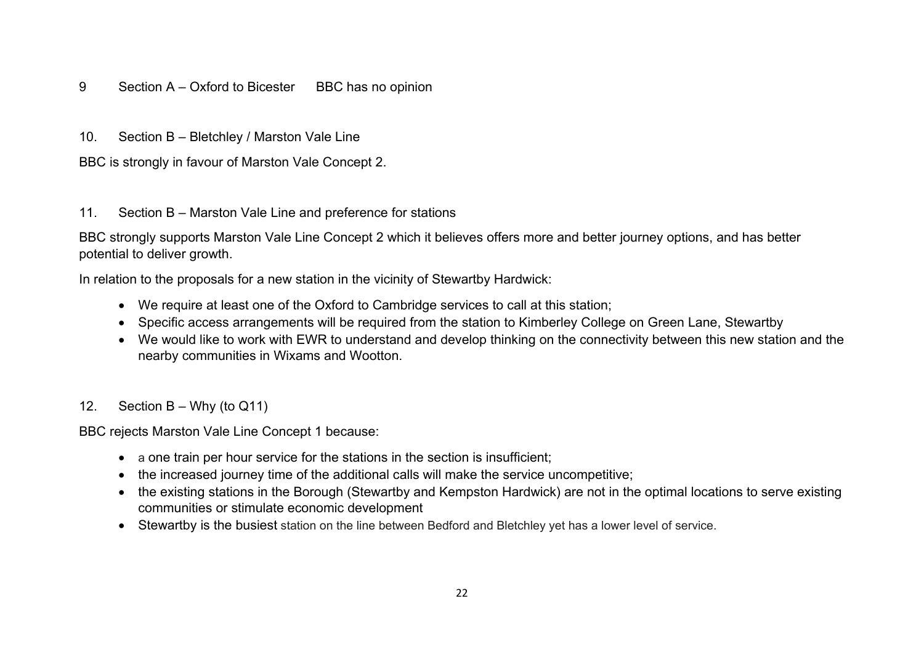#### 9 Section A – Oxford to Bicester BBC has no opinion

10. Section B – Bletchley / Marston Vale Line

BBC is strongly in favour of Marston Vale Concept 2.

#### 11. Section B – Marston Vale Line and preference for stations

BBC strongly supports Marston Vale Line Concept 2 which it believes offers more and better journey options, and has better potential to deliver growth.

In relation to the proposals for a new station in the vicinity of Stewartby Hardwick:

- We require at least one of the Oxford to Cambridge services to call at this station;
- Specific access arrangements will be required from the station to Kimberley College on Green Lane, Stewartby
- We would like to work with EWR to understand and develop thinking on the connectivity between this new station and the nearby communities in Wixams and Wootton.

### 12. Section B – Why (to Q11)

BBC rejects Marston Vale Line Concept 1 because:

- a one train per hour service for the stations in the section is insufficient;
- the increased journey time of the additional calls will make the service uncompetitive;
- the existing stations in the Borough (Stewartby and Kempston Hardwick) are not in the optimal locations to serve existing communities or stimulate economic development
- Stewartby is the busiest station on the line between Bedford and Bletchley yet has a lower level of service.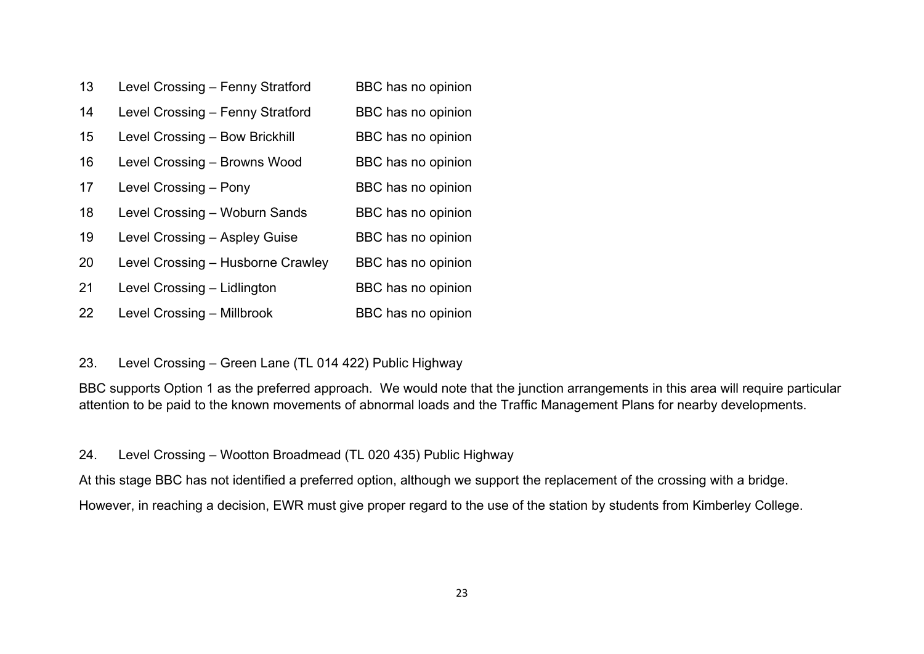| 13 | Level Crossing - Fenny Stratford  | BBC has no opinion |
|----|-----------------------------------|--------------------|
| 14 | Level Crossing - Fenny Stratford  | BBC has no opinion |
| 15 | Level Crossing - Bow Brickhill    | BBC has no opinion |
| 16 | Level Crossing - Browns Wood      | BBC has no opinion |
| 17 | Level Crossing - Pony             | BBC has no opinion |
| 18 | Level Crossing - Woburn Sands     | BBC has no opinion |
| 19 | Level Crossing - Aspley Guise     | BBC has no opinion |
| 20 | Level Crossing - Husborne Crawley | BBC has no opinion |
| 21 | Level Crossing - Lidlington       | BBC has no opinion |
| 22 | Level Crossing - Millbrook        | BBC has no opinion |

# 23. Level Crossing – Green Lane (TL 014 422) Public Highway

BBC supports Option 1 as the preferred approach. We would note that the junction arrangements in this area will require particular attention to be paid to the known movements of abnormal loads and the Traffic Management Plans for nearby developments.

### 24. Level Crossing – Wootton Broadmead (TL 020 435) Public Highway

At this stage BBC has not identified a preferred option, although we support the replacement of the crossing with a bridge. However, in reaching a decision, EWR must give proper regard to the use of the station by students from Kimberley College.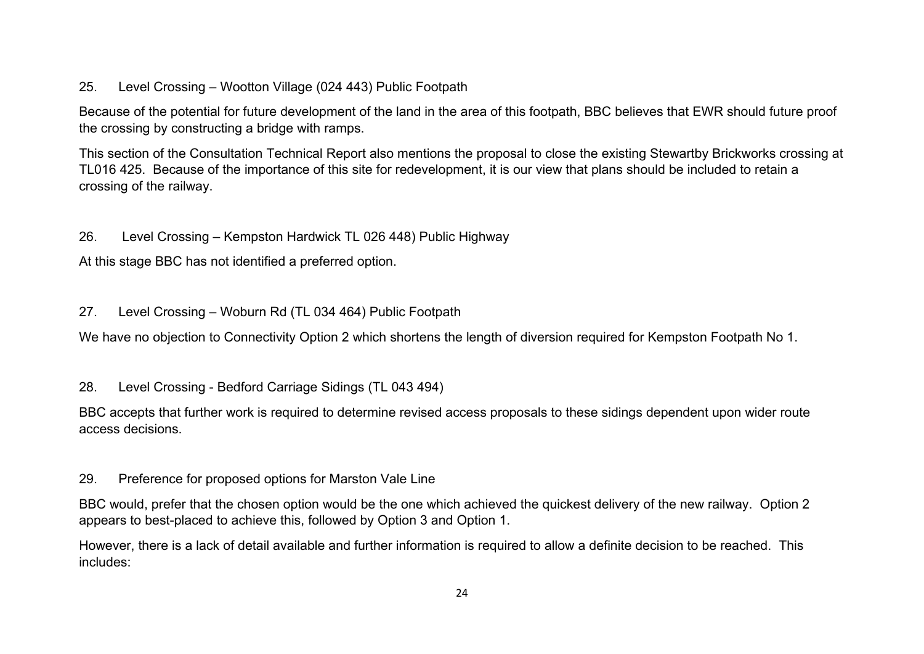# 25. Level Crossing – Wootton Village (024 443) Public Footpath

Because of the potential for future development of the land in the area of this footpath, BBC believes that EWR should future proof the crossing by constructing a bridge with ramps.

This section of the Consultation Technical Report also mentions the proposal to close the existing Stewartby Brickworks crossing at TL016 425. Because of the importance of this site for redevelopment, it is our view that plans should be included to retain a crossing of the railway.

# 26. Level Crossing – Kempston Hardwick TL 026 448) Public Highway

At this stage BBC has not identified a preferred option.

# 27. Level Crossing – Woburn Rd (TL 034 464) Public Footpath

We have no objection to Connectivity Option 2 which shortens the length of diversion required for Kempston Footpath No 1.

# 28. Level Crossing - Bedford Carriage Sidings (TL 043 494)

BBC accepts that further work is required to determine revised access proposals to these sidings dependent upon wider route access decisions.

# 29. Preference for proposed options for Marston Vale Line

BBC would, prefer that the chosen option would be the one which achieved the quickest delivery of the new railway. Option 2 appears to best-placed to achieve this, followed by Option 3 and Option 1.

However, there is a lack of detail available and further information is required to allow a definite decision to be reached. This includes: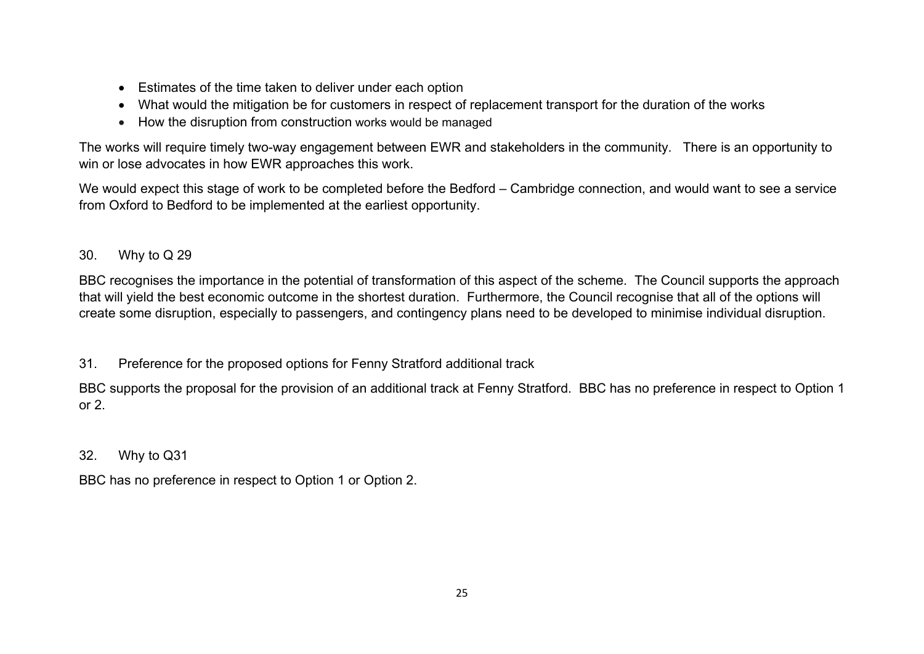- Estimates of the time taken to deliver under each option
- What would the mitigation be for customers in respect of replacement transport for the duration of the works
- How the disruption from construction works would be managed

The works will require timely two-way engagement between EWR and stakeholders in the community. There is an opportunity to win or lose advocates in how EWR approaches this work.

We would expect this stage of work to be completed before the Bedford – Cambridge connection, and would want to see a service from Oxford to Bedford to be implemented at the earliest opportunity.

# 30. Why to Q 29

BBC recognises the importance in the potential of transformation of this aspect of the scheme. The Council supports the approach that will yield the best economic outcome in the shortest duration. Furthermore, the Council recognise that all of the options will create some disruption, especially to passengers, and contingency plans need to be developed to minimise individual disruption.

31. Preference for the proposed options for Fenny Stratford additional track

BBC supports the proposal for the provision of an additional track at Fenny Stratford. BBC has no preference in respect to Option 1 or 2.

# 32. Why to Q31

BBC has no preference in respect to Option 1 or Option 2.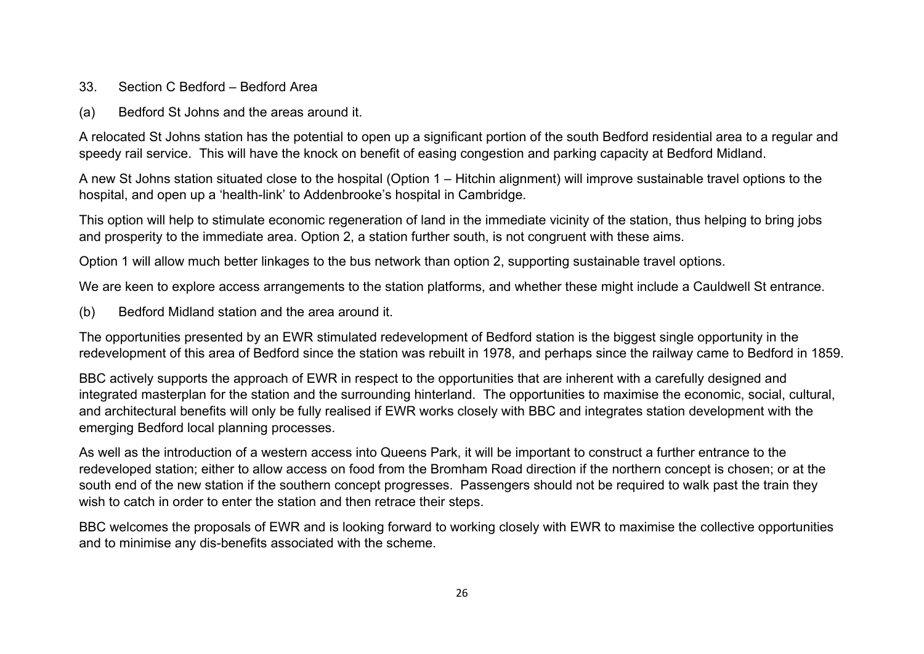- 33. Section C Bedford Bedford Area
- (a) Bedford St Johns and the areas around it.

A relocated St Johns station has the potential to open up a significant portion of the south Bedford residential area to a regular and speedy rail service. This will have the knock on benefit of easing congestion and parking capacity at Bedford Midland.

A new St Johns station situated close to the hospital (Option 1 – Hitchin alignment) will improve sustainable travel options to the hospital, and open up a 'health-link' to Addenbrooke's hospital in Cambridge.

This option will help to stimulate economic regeneration of land in the immediate vicinity of the station, thus helping to bring jobs and prosperity to the immediate area. Option 2, a station further south, is not congruent with these aims.

Option 1 will allow much better linkages to the bus network than option 2, supporting sustainable travel options.

We are keen to explore access arrangements to the station platforms, and whether these might include a Cauldwell St entrance.

(b) Bedford Midland station and the area around it.

The opportunities presented by an EWR stimulated redevelopment of Bedford station is the biggest single opportunity in the redevelopment of this area of Bedford since the station was rebuilt in 1978, and perhaps since the railway came to Bedford in 1859.

BBC actively supports the approach of EWR in respect to the opportunities that are inherent with a carefully designed and integrated masterplan for the station and the surrounding hinterland. The opportunities to maximise the economic, social, cultural, and architectural benefits will only be fully realised if EWR works closely with BBC and integrates station development with the emerging Bedford local planning processes.

As well as the introduction of a western access into Queens Park, it will be important to construct a further entrance to the redeveloped station; either to allow access on food from the Bromham Road direction if the northern concept is chosen; or at the south end of the new station if the southern concept progresses. Passengers should not be required to walk past the train they wish to catch in order to enter the station and then retrace their steps.

BBC welcomes the proposals of EWR and is looking forward to working closely with EWR to maximise the collective opportunities and to minimise any dis-benefits associated with the scheme.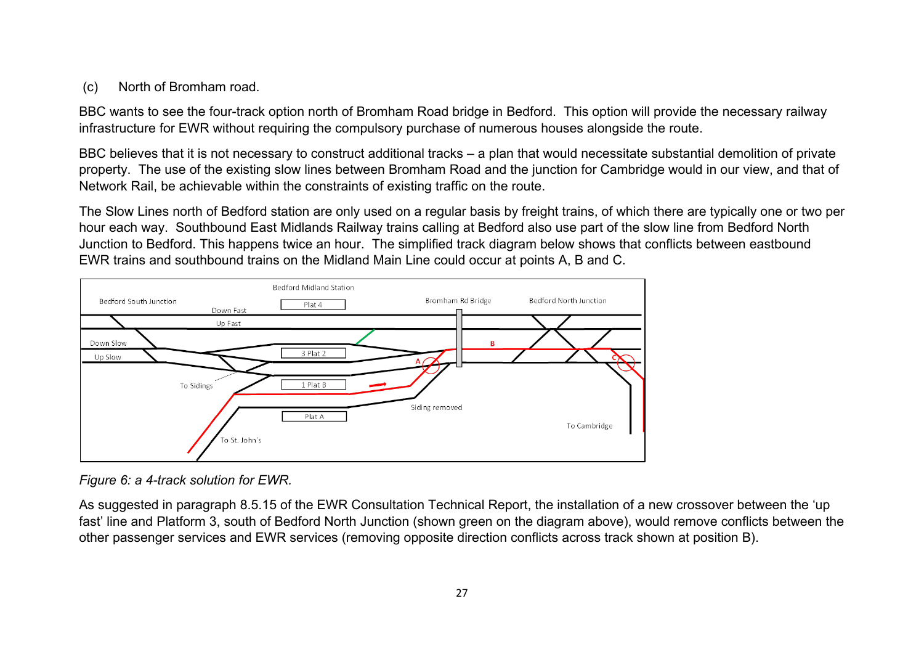# (c) North of Bromham road.

BBC wants to see the four-track option north of Bromham Road bridge in Bedford. This option will provide the necessary railway infrastructure for EWR without requiring the compulsory purchase of numerous houses alongside the route.

BBC believes that it is not necessary to construct additional tracks – a plan that would necessitate substantial demolition of private property. The use of the existing slow lines between Bromham Road and the junction for Cambridge would in our view, and that of Network Rail, be achievable within the constraints of existing traffic on the route.

The Slow Lines north of Bedford station are only used on a regular basis by freight trains, of which there are typically one or two per hour each way. Southbound East Midlands Railway trains calling at Bedford also use part of the slow line from Bedford North Junction to Bedford. This happens twice an hour. The simplified track diagram below shows that conflicts between eastbound EWR trains and southbound trains on the Midland Main Line could occur at points A, B and C.



*Figure 6: a 4-track solution for EWR.*

As suggested in paragraph 8.5.15 of the EWR Consultation Technical Report, the installation of a new crossover between the 'up fast' line and Platform 3, south of Bedford North Junction (shown green on the diagram above), would remove conflicts between the other passenger services and EWR services (removing opposite direction conflicts across track shown at position B).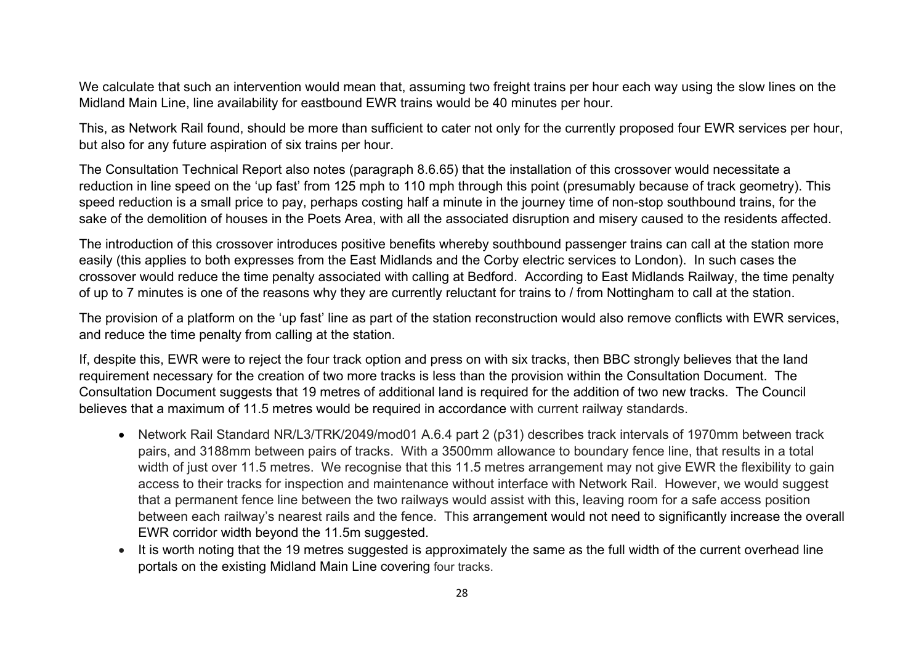We calculate that such an intervention would mean that, assuming two freight trains per hour each way using the slow lines on the Midland Main Line, line availability for eastbound EWR trains would be 40 minutes per hour.

This, as Network Rail found, should be more than sufficient to cater not only for the currently proposed four EWR services per hour, but also for any future aspiration of six trains per hour.

The Consultation Technical Report also notes (paragraph 8.6.65) that the installation of this crossover would necessitate a reduction in line speed on the 'up fast' from 125 mph to 110 mph through this point (presumably because of track geometry). This speed reduction is a small price to pay, perhaps costing half a minute in the journey time of non-stop southbound trains, for the sake of the demolition of houses in the Poets Area, with all the associated disruption and misery caused to the residents affected.

The introduction of this crossover introduces positive benefits whereby southbound passenger trains can call at the station more easily (this applies to both expresses from the East Midlands and the Corby electric services to London). In such cases the crossover would reduce the time penalty associated with calling at Bedford. According to East Midlands Railway, the time penalty of up to 7 minutes is one of the reasons why they are currently reluctant for trains to / from Nottingham to call at the station.

The provision of a platform on the 'up fast' line as part of the station reconstruction would also remove conflicts with EWR services, and reduce the time penalty from calling at the station.

If, despite this, EWR were to reject the four track option and press on with six tracks, then BBC strongly believes that the land requirement necessary for the creation of two more tracks is less than the provision within the Consultation Document. The Consultation Document suggests that 19 metres of additional land is required for the addition of two new tracks. The Council believes that a maximum of 11.5 metres would be required in accordance with current railway standards.

- Network Rail Standard NR/L3/TRK/2049/mod01 A.6.4 part 2 (p31) describes track intervals of 1970mm between track pairs, and 3188mm between pairs of tracks. With a 3500mm allowance to boundary fence line, that results in a total width of just over 11.5 metres. We recognise that this 11.5 metres arrangement may not give EWR the flexibility to gain access to their tracks for inspection and maintenance without interface with Network Rail. However, we would suggest that a permanent fence line between the two railways would assist with this, leaving room for a safe access position between each railway's nearest rails and the fence. This arrangement would not need to significantly increase the overall EWR corridor width beyond the 11.5m suggested.
- It is worth noting that the 19 metres suggested is approximately the same as the full width of the current overhead line portals on the existing Midland Main Line covering four tracks.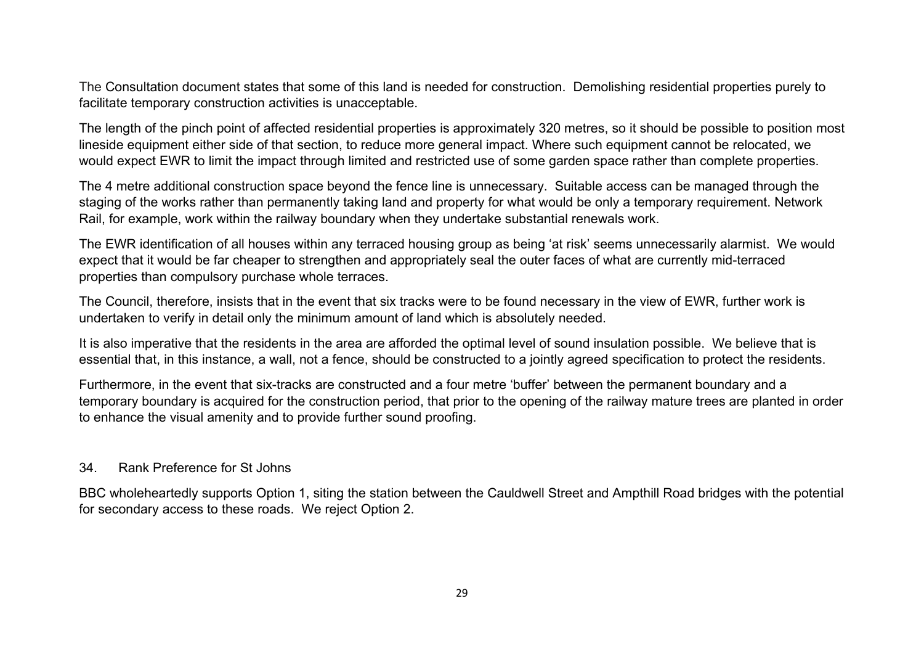The Consultation document states that some of this land is needed for construction. Demolishing residential properties purely to facilitate temporary construction activities is unacceptable.

The length of the pinch point of affected residential properties is approximately 320 metres, so it should be possible to position most lineside equipment either side of that section, to reduce more general impact. Where such equipment cannot be relocated, we would expect EWR to limit the impact through limited and restricted use of some garden space rather than complete properties.

The 4 metre additional construction space beyond the fence line is unnecessary. Suitable access can be managed through the staging of the works rather than permanently taking land and property for what would be only a temporary requirement. Network Rail, for example, work within the railway boundary when they undertake substantial renewals work.

The EWR identification of all houses within any terraced housing group as being 'at risk' seems unnecessarily alarmist. We would expect that it would be far cheaper to strengthen and appropriately seal the outer faces of what are currently mid-terraced properties than compulsory purchase whole terraces.

The Council, therefore, insists that in the event that six tracks were to be found necessary in the view of EWR, further work is undertaken to verify in detail only the minimum amount of land which is absolutely needed.

It is also imperative that the residents in the area are afforded the optimal level of sound insulation possible. We believe that is essential that, in this instance, a wall, not a fence, should be constructed to a jointly agreed specification to protect the residents.

Furthermore, in the event that six-tracks are constructed and a four metre 'buffer' between the permanent boundary and a temporary boundary is acquired for the construction period, that prior to the opening of the railway mature trees are planted in order to enhance the visual amenity and to provide further sound proofing.

#### 34. Rank Preference for St Johns

BBC wholeheartedly supports Option 1, siting the station between the Cauldwell Street and Ampthill Road bridges with the potential for secondary access to these roads. We reject Option 2.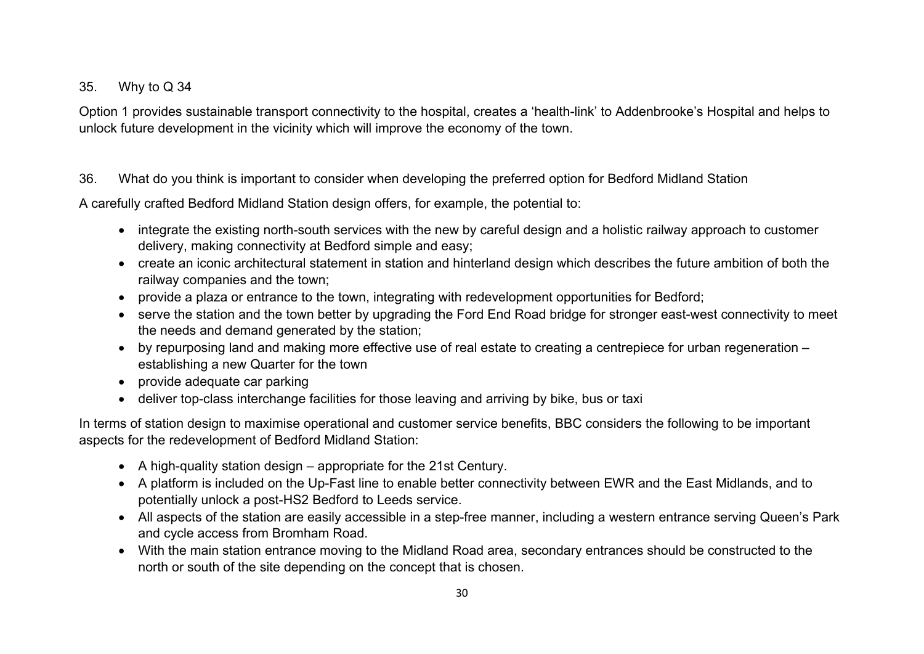# 35. Why to Q 34

Option 1 provides sustainable transport connectivity to the hospital, creates a 'health-link' to Addenbrooke's Hospital and helps to unlock future development in the vicinity which will improve the economy of the town.

# 36. What do you think is important to consider when developing the preferred option for Bedford Midland Station

A carefully crafted Bedford Midland Station design offers, for example, the potential to:

- integrate the existing north-south services with the new by careful design and a holistic railway approach to customer delivery, making connectivity at Bedford simple and easy;
- create an iconic architectural statement in station and hinterland design which describes the future ambition of both the railway companies and the town;
- provide a plaza or entrance to the town, integrating with redevelopment opportunities for Bedford;
- serve the station and the town better by upgrading the Ford End Road bridge for stronger east-west connectivity to meet the needs and demand generated by the station;
- by repurposing land and making more effective use of real estate to creating a centrepiece for urban regeneration establishing a new Quarter for the town
- provide adequate car parking
- deliver top-class interchange facilities for those leaving and arriving by bike, bus or taxi

In terms of station design to maximise operational and customer service benefits, BBC considers the following to be important aspects for the redevelopment of Bedford Midland Station:

- A high-quality station design appropriate for the 21st Century.
- A platform is included on the Up-Fast line to enable better connectivity between EWR and the East Midlands, and to potentially unlock a post-HS2 Bedford to Leeds service.
- All aspects of the station are easily accessible in a step-free manner, including a western entrance serving Queen's Park and cycle access from Bromham Road.
- With the main station entrance moving to the Midland Road area, secondary entrances should be constructed to the north or south of the site depending on the concept that is chosen.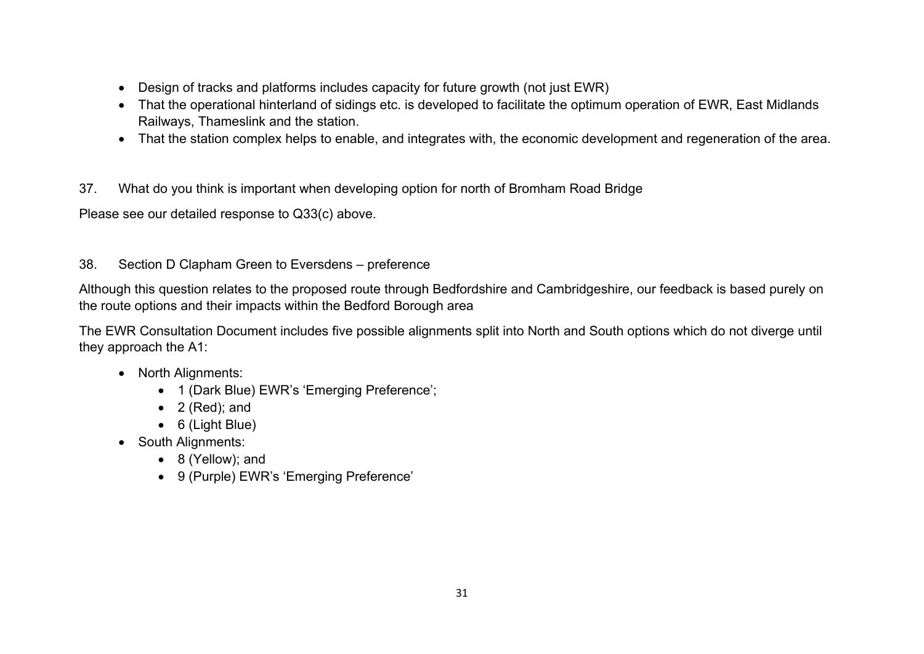- Design of tracks and platforms includes capacity for future growth (not just EWR)
- That the operational hinterland of sidings etc. is developed to facilitate the optimum operation of EWR, East Midlands Railways, Thameslink and the station.
- That the station complex helps to enable, and integrates with, the economic development and regeneration of the area.
- 37. What do you think is important when developing option for north of Bromham Road Bridge

Please see our detailed response to Q33(c) above.

38. Section D Clapham Green to Eversdens – preference

Although this question relates to the proposed route through Bedfordshire and Cambridgeshire, our feedback is based purely on the route options and their impacts within the Bedford Borough area

The EWR Consultation Document includes five possible alignments split into North and South options which do not diverge until they approach the A1:

- North Alignments:
	- 1 (Dark Blue) EWR's 'Emerging Preference';
	- 2 (Red); and
	- 6 (Light Blue)
- South Alignments:
	- 8 (Yellow); and
	- 9 (Purple) EWR's 'Emerging Preference'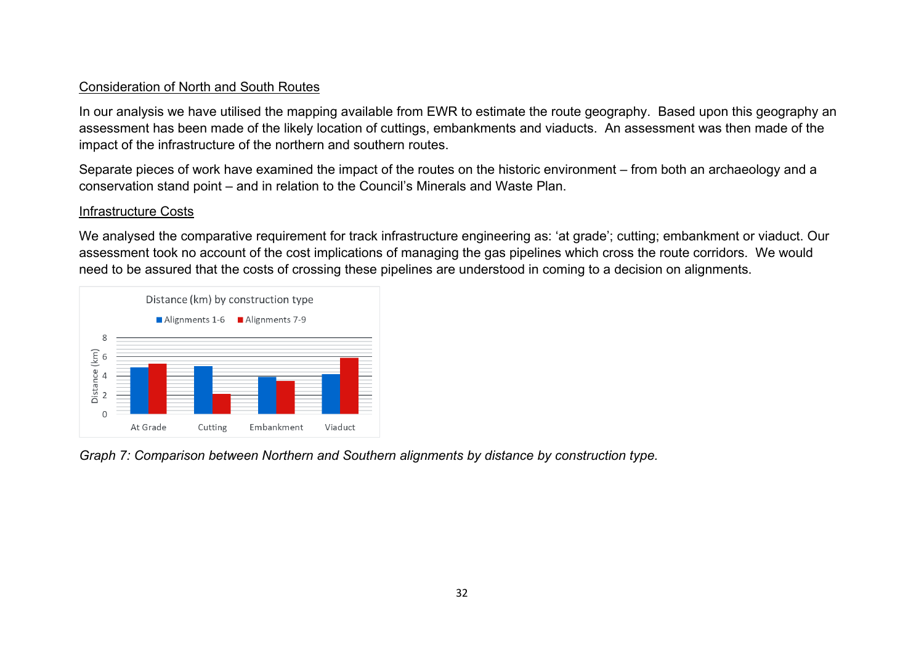#### Consideration of North and South Routes

In our analysis we have utilised the mapping available from EWR to estimate the route geography. Based upon this geography an assessment has been made of the likely location of cuttings, embankments and viaducts. An assessment was then made of the impact of the infrastructure of the northern and southern routes.

Separate pieces of work have examined the impact of the routes on the historic environment – from both an archaeology and a conservation stand point – and in relation to the Council's Minerals and Waste Plan.

### Infrastructure Costs

We analysed the comparative requirement for track infrastructure engineering as: 'at grade'; cutting; embankment or viaduct. Our assessment took no account of the cost implications of managing the gas pipelines which cross the route corridors. We would need to be assured that the costs of crossing these pipelines are understood in coming to a decision on alignments.



*Graph 7: Comparison between Northern and Southern alignments by distance by construction type.*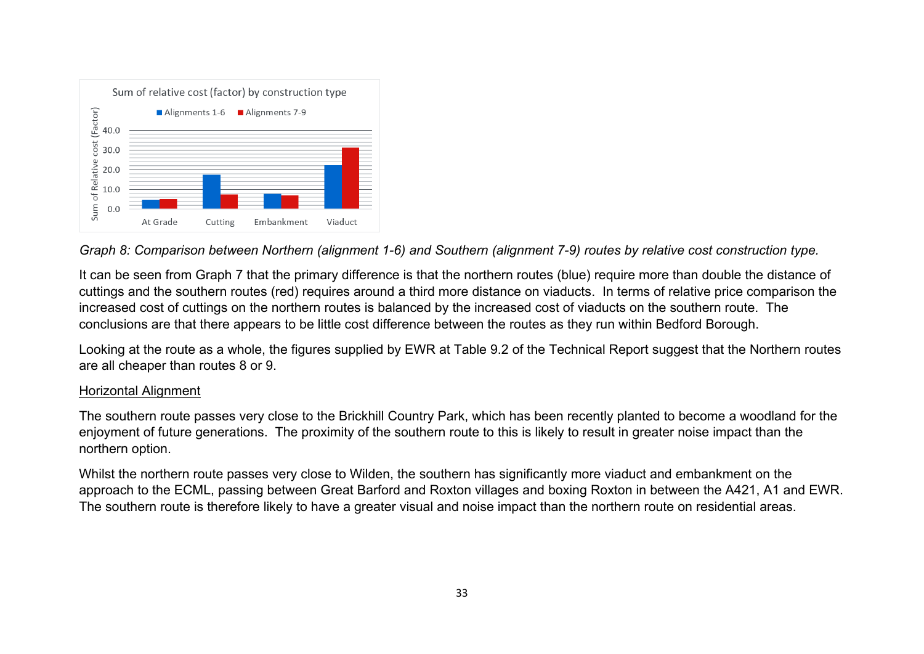

*Graph 8: Comparison between Northern (alignment 1-6) and Southern (alignment 7-9) routes by relative cost construction type.*

It can be seen from Graph 7 that the primary difference is that the northern routes (blue) require more than double the distance of cuttings and the southern routes (red) requires around a third more distance on viaducts. In terms of relative price comparison the increased cost of cuttings on the northern routes is balanced by the increased cost of viaducts on the southern route. The conclusions are that there appears to be little cost difference between the routes as they run within Bedford Borough.

Looking at the route as a whole, the figures supplied by EWR at Table 9.2 of the Technical Report suggest that the Northern routes are all cheaper than routes 8 or 9.

### Horizontal Alignment

The southern route passes very close to the Brickhill Country Park, which has been recently planted to become a woodland for the enjoyment of future generations. The proximity of the southern route to this is likely to result in greater noise impact than the northern option.

Whilst the northern route passes very close to Wilden, the southern has significantly more viaduct and embankment on the approach to the ECML, passing between Great Barford and Roxton villages and boxing Roxton in between the A421, A1 and EWR. The southern route is therefore likely to have a greater visual and noise impact than the northern route on residential areas.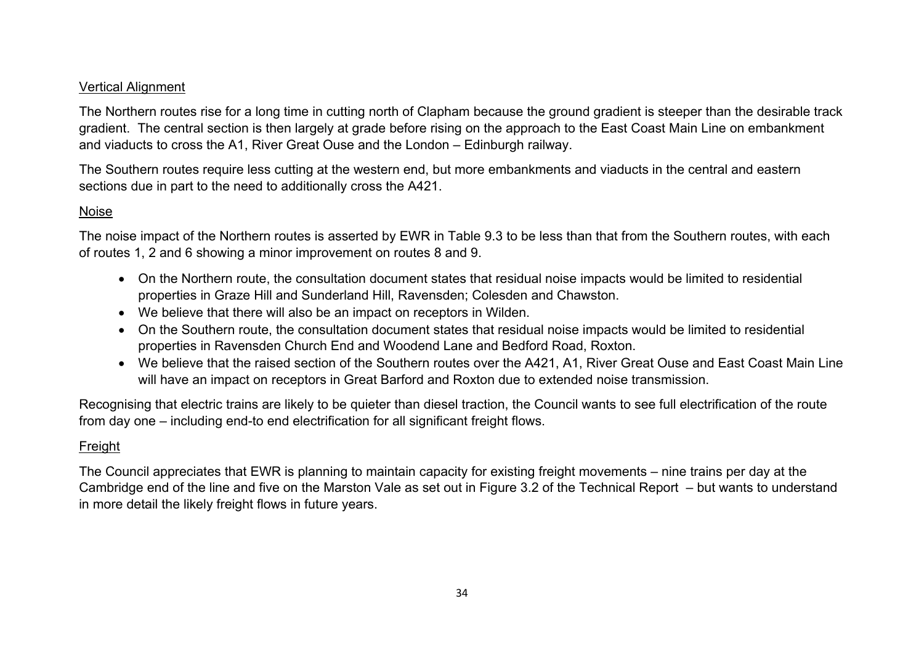#### Vertical Alignment

The Northern routes rise for a long time in cutting north of Clapham because the ground gradient is steeper than the desirable track gradient. The central section is then largely at grade before rising on the approach to the East Coast Main Line on embankment and viaducts to cross the A1, River Great Ouse and the London – Edinburgh railway.

The Southern routes require less cutting at the western end, but more embankments and viaducts in the central and eastern sections due in part to the need to additionally cross the A421.

## Noise

The noise impact of the Northern routes is asserted by EWR in Table 9.3 to be less than that from the Southern routes, with each of routes 1, 2 and 6 showing a minor improvement on routes 8 and 9.

- On the Northern route, the consultation document states that residual noise impacts would be limited to residential properties in Graze Hill and Sunderland Hill, Ravensden; Colesden and Chawston.
- We believe that there will also be an impact on receptors in Wilden.
- On the Southern route, the consultation document states that residual noise impacts would be limited to residential properties in Ravensden Church End and Woodend Lane and Bedford Road, Roxton.
- We believe that the raised section of the Southern routes over the A421, A1, River Great Ouse and East Coast Main Line will have an impact on receptors in Great Barford and Roxton due to extended noise transmission.

Recognising that electric trains are likely to be quieter than diesel traction, the Council wants to see full electrification of the route from day one – including end-to end electrification for all significant freight flows.

# Freight

The Council appreciates that EWR is planning to maintain capacity for existing freight movements – nine trains per day at the Cambridge end of the line and five on the Marston Vale as set out in Figure 3.2 of the Technical Report – but wants to understand in more detail the likely freight flows in future years.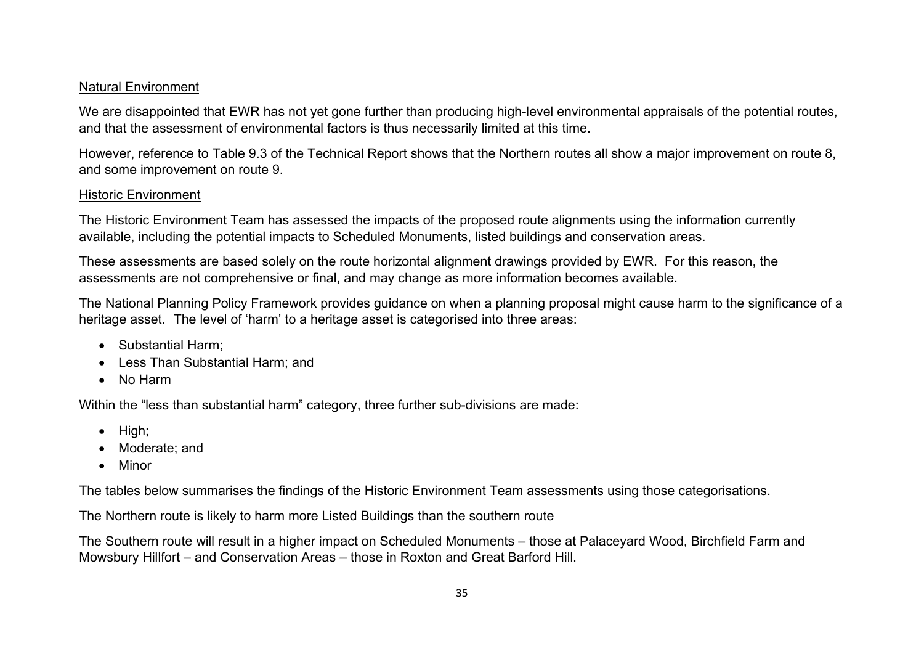#### Natural Environment

We are disappointed that EWR has not vet gone further than producing high-level environmental appraisals of the potential routes, and that the assessment of environmental factors is thus necessarily limited at this time.

However, reference to Table 9.3 of the Technical Report shows that the Northern routes all show a major improvement on route 8, and some improvement on route 9.

#### Historic Environment

The Historic Environment Team has assessed the impacts of the proposed route alignments using the information currently available, including the potential impacts to Scheduled Monuments, listed buildings and conservation areas.

These assessments are based solely on the route horizontal alignment drawings provided by EWR. For this reason, the assessments are not comprehensive or final, and may change as more information becomes available.

The National Planning Policy Framework provides guidance on when a planning proposal might cause harm to the significance of a heritage asset. The level of 'harm' to a heritage asset is categorised into three areas:

- Substantial Harm;
- Less Than Substantial Harm; and
- No Harm

Within the "less than substantial harm" category, three further sub-divisions are made:

- High;
- Moderate; and
- Minor

The tables below summarises the findings of the Historic Environment Team assessments using those categorisations.

The Northern route is likely to harm more Listed Buildings than the southern route

The Southern route will result in a higher impact on Scheduled Monuments – those at Palaceyard Wood, Birchfield Farm and Mowsbury Hillfort – and Conservation Areas – those in Roxton and Great Barford Hill.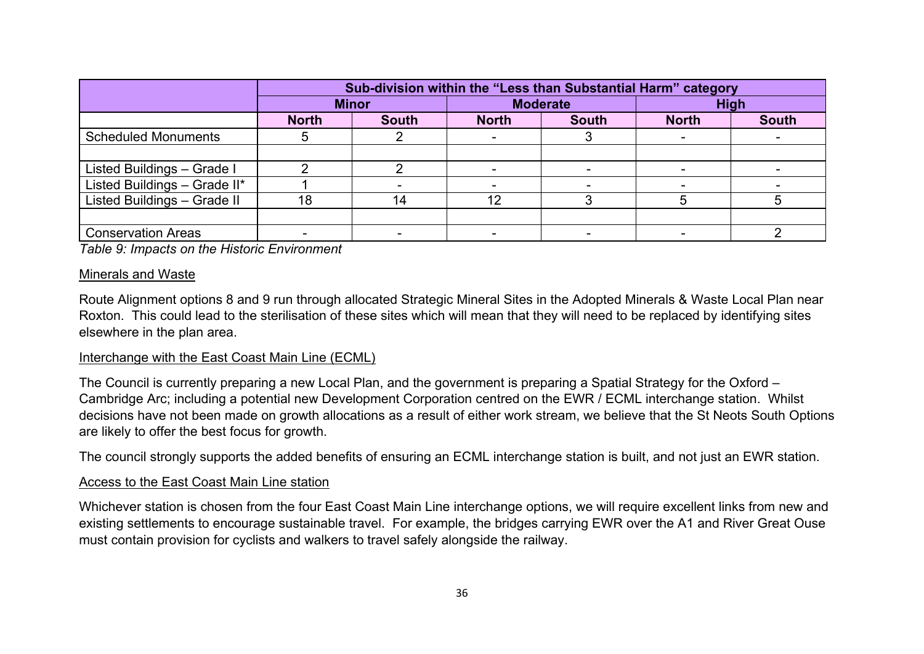|                              | Sub-division within the "Less than Substantial Harm" category |              |                 |              |              |              |  |
|------------------------------|---------------------------------------------------------------|--------------|-----------------|--------------|--------------|--------------|--|
|                              | <b>Minor</b>                                                  |              | <b>Moderate</b> |              | <b>High</b>  |              |  |
|                              | <b>North</b>                                                  | <b>South</b> | <b>North</b>    | <b>South</b> | <b>North</b> | <b>South</b> |  |
| <b>Scheduled Monuments</b>   |                                                               |              |                 |              |              |              |  |
|                              |                                                               |              |                 |              |              |              |  |
| Listed Buildings - Grade I   |                                                               |              |                 |              |              |              |  |
| Listed Buildings - Grade II* |                                                               |              |                 |              |              |              |  |
| Listed Buildings - Grade II  | 18                                                            | 14           | 12              |              |              |              |  |
|                              |                                                               |              |                 |              |              |              |  |
| <b>Conservation Areas</b>    |                                                               |              |                 |              |              |              |  |

*Table 9: Impacts on the Historic Environment*

#### Minerals and Waste

Route Alignment options 8 and 9 run through allocated Strategic Mineral Sites in the Adopted Minerals & Waste Local Plan near Roxton. This could lead to the sterilisation of these sites which will mean that they will need to be replaced by identifying sites elsewhere in the plan area.

#### Interchange with the East Coast Main Line (ECML)

The Council is currently preparing a new Local Plan, and the government is preparing a Spatial Strategy for the Oxford – Cambridge Arc; including a potential new Development Corporation centred on the EWR / ECML interchange station. Whilst decisions have not been made on growth allocations as a result of either work stream, we believe that the St Neots South Options are likely to offer the best focus for growth.

The council strongly supports the added benefits of ensuring an ECML interchange station is built, and not just an EWR station.

#### Access to the East Coast Main Line station

Whichever station is chosen from the four East Coast Main Line interchange options, we will require excellent links from new and existing settlements to encourage sustainable travel. For example, the bridges carrying EWR over the A1 and River Great Ouse must contain provision for cyclists and walkers to travel safely alongside the railway.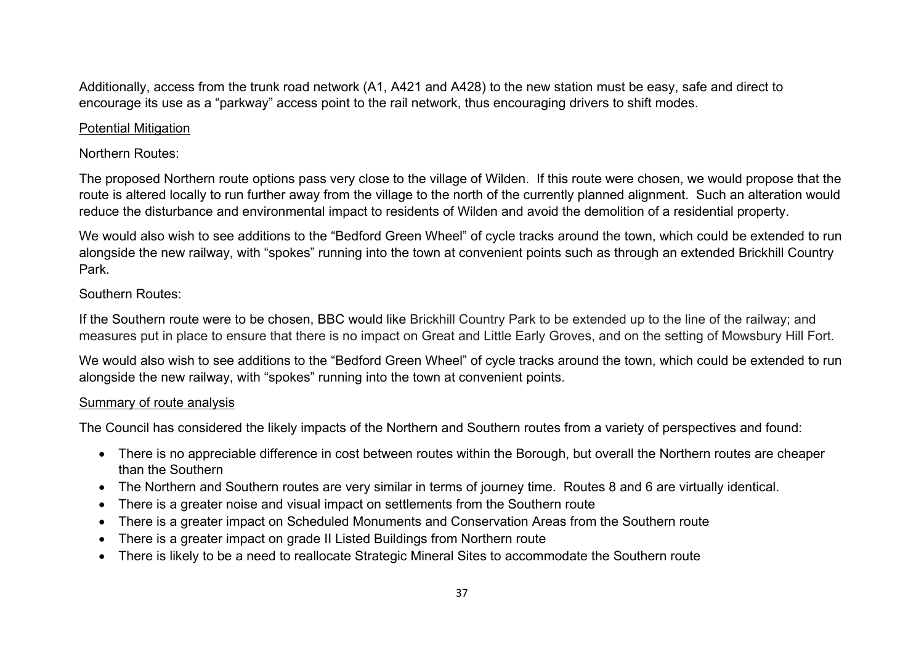Additionally, access from the trunk road network (A1, A421 and A428) to the new station must be easy, safe and direct to encourage its use as a "parkway" access point to the rail network, thus encouraging drivers to shift modes.

#### Potential Mitigation

## Northern Routes:

The proposed Northern route options pass very close to the village of Wilden. If this route were chosen, we would propose that the route is altered locally to run further away from the village to the north of the currently planned alignment. Such an alteration would reduce the disturbance and environmental impact to residents of Wilden and avoid the demolition of a residential property.

We would also wish to see additions to the "Bedford Green Wheel" of cycle tracks around the town, which could be extended to run alongside the new railway, with "spokes" running into the town at convenient points such as through an extended Brickhill Country Park.

## Southern Routes:

If the Southern route were to be chosen, BBC would like Brickhill Country Park to be extended up to the line of the railway; and measures put in place to ensure that there is no impact on Great and Little Early Groves, and on the setting of Mowsbury Hill Fort.

We would also wish to see additions to the "Bedford Green Wheel" of cycle tracks around the town, which could be extended to run alongside the new railway, with "spokes" running into the town at convenient points.

### Summary of route analysis

The Council has considered the likely impacts of the Northern and Southern routes from a variety of perspectives and found:

- There is no appreciable difference in cost between routes within the Borough, but overall the Northern routes are cheaper than the Southern
- The Northern and Southern routes are very similar in terms of journey time. Routes 8 and 6 are virtually identical.
- There is a greater noise and visual impact on settlements from the Southern route
- There is a greater impact on Scheduled Monuments and Conservation Areas from the Southern route
- There is a greater impact on grade II Listed Buildings from Northern route
- There is likely to be a need to reallocate Strategic Mineral Sites to accommodate the Southern route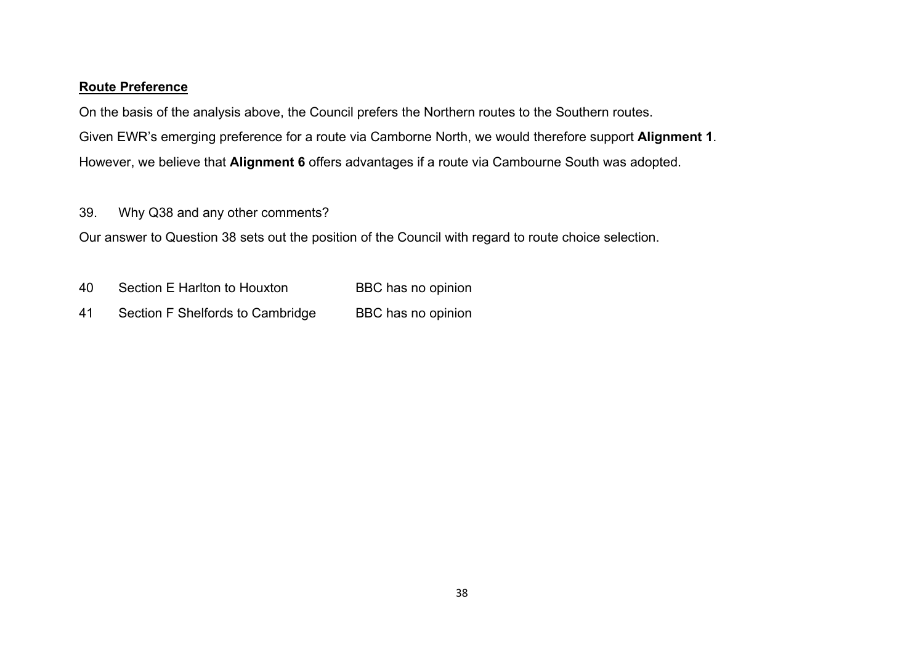#### **Route Preference**

On the basis of the analysis above, the Council prefers the Northern routes to the Southern routes. Given EWR's emerging preference for a route via Camborne North, we would therefore support **Alignment 1**. However, we believe that **Alignment 6** offers advantages if a route via Cambourne South was adopted.

39. Why Q38 and any other comments?

Our answer to Question 38 sets out the position of the Council with regard to route choice selection.

- 40 Section E Harlton to Houxton BBC has no opinion
- 41 Section F Shelfords to Cambridge BBC has no opinion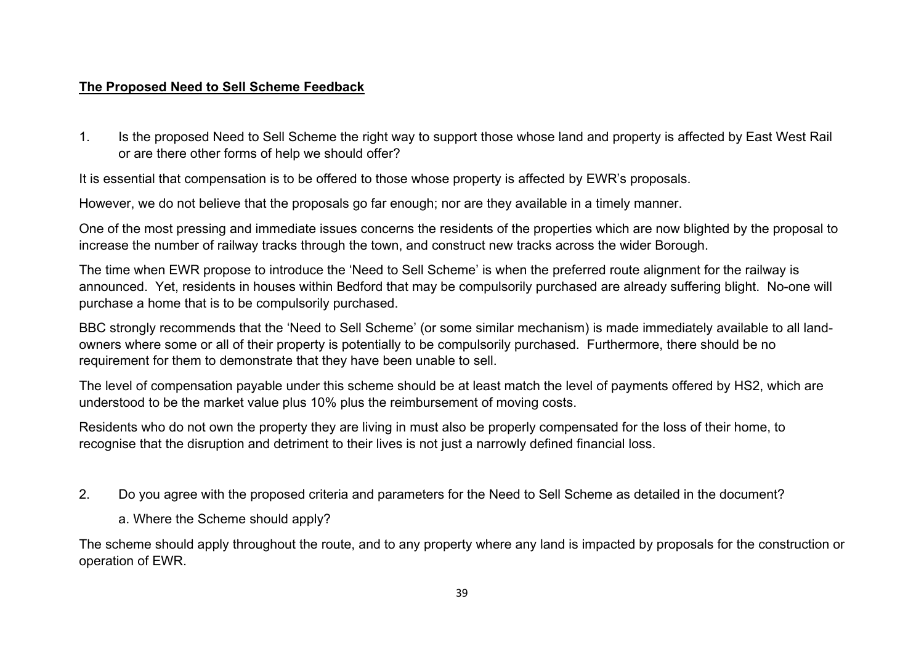### **The Proposed Need to Sell Scheme Feedback**

1. Is the proposed Need to Sell Scheme the right way to support those whose land and property is affected by East West Rail or are there other forms of help we should offer?

It is essential that compensation is to be offered to those whose property is affected by EWR's proposals.

However, we do not believe that the proposals go far enough; nor are they available in a timely manner.

One of the most pressing and immediate issues concerns the residents of the properties which are now blighted by the proposal to increase the number of railway tracks through the town, and construct new tracks across the wider Borough.

The time when EWR propose to introduce the 'Need to Sell Scheme' is when the preferred route alignment for the railway is announced. Yet, residents in houses within Bedford that may be compulsorily purchased are already suffering blight. No-one will purchase a home that is to be compulsorily purchased.

BBC strongly recommends that the 'Need to Sell Scheme' (or some similar mechanism) is made immediately available to all landowners where some or all of their property is potentially to be compulsorily purchased. Furthermore, there should be no requirement for them to demonstrate that they have been unable to sell.

The level of compensation payable under this scheme should be at least match the level of payments offered by HS2, which are understood to be the market value plus 10% plus the reimbursement of moving costs.

Residents who do not own the property they are living in must also be properly compensated for the loss of their home, to recognise that the disruption and detriment to their lives is not just a narrowly defined financial loss.

- 2. Do you agree with the proposed criteria and parameters for the Need to Sell Scheme as detailed in the document?
	- a. Where the Scheme should apply?

The scheme should apply throughout the route, and to any property where any land is impacted by proposals for the construction or operation of EWR.